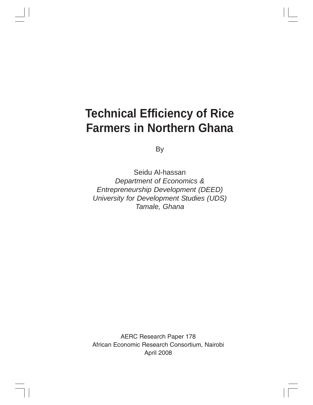# **Technical Efficiency of Rice Farmers in Northern Ghana**

By

Seidu Al-hassan *Department of Economics & Entrepreneurship Development (DEED) University for Development Studies (UDS) Tamale, Ghana*

AERC Research Paper 178 African Economic Research Consortium, Nairobi April 2008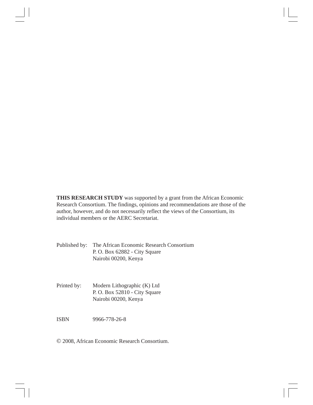**THIS RESEARCH STUDY** was supported by a grant from the African Economic Research Consortium. The findings, opinions and recommendations are those of the author, however, and do not necessarily reflect the views of the Consortium, its individual members or the AERC Secretariat.

Published by: The African Economic Research Consortium P. O. Box 62882 - City Square Nairobi 00200, Kenya

Printed by: Modern Lithographic (K) Ltd P. O. Box 52810 - City Square Nairobi 00200, Kenya

ISBN 9966-778-26-8

© 2008, African Economic Research Consortium.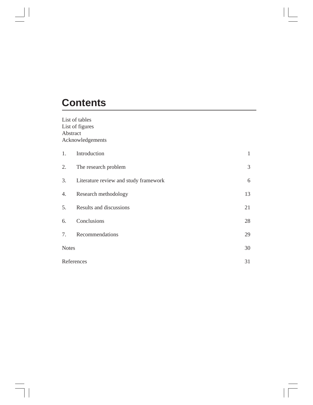# **Contents**

 $\vert \vert$ 

List of tables List of figures Abstract Acknowledgements

| 1.           | Introduction                          | 1  |
|--------------|---------------------------------------|----|
| 2.           | The research problem                  | 3  |
| 3.           | Literature review and study framework | 6  |
| 4.           | Research methodology                  | 13 |
| 5.           | Results and discussions               | 21 |
| 6.           | Conclusions                           | 28 |
| 7.           | Recommendations                       | 29 |
| <b>Notes</b> |                                       | 30 |
| References   |                                       | 31 |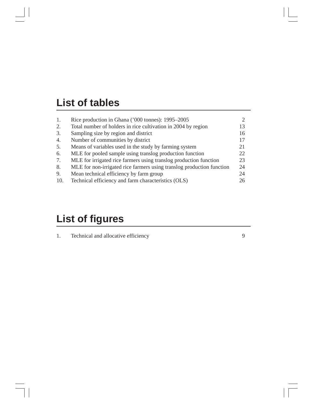# **List of tables**

| 1.  | Rice production in Ghana ('000 tonnes): 1995–2005                     |     |
|-----|-----------------------------------------------------------------------|-----|
| 2.  | Total number of holders in rice cultivation in 2004 by region         | 13  |
| 3.  | Sampling size by region and district                                  | 16  |
| 4.  | Number of communities by district                                     | 17  |
| 5.  | Means of variables used in the study by farming system                | 21  |
| 6.  | MLE for pooled sample using translog production function              | 22. |
| 7.  | MLE for irrigated rice farmers using translog production function     | 23  |
| 8.  | MLE for non-irrigated rice farmers using translog production function | 24  |
| 9.  | Mean technical efficiency by farm group                               | 24  |
| 10. | Technical efficiency and farm characteristics (OLS)                   | 26  |

# **List of figures**

|  | Technical and allocative efficiency |  |
|--|-------------------------------------|--|
|--|-------------------------------------|--|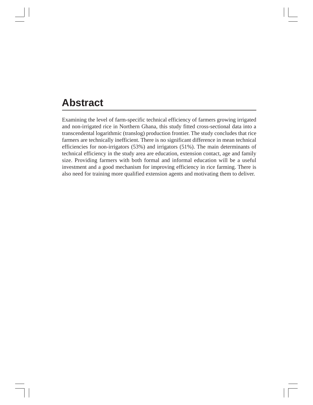# **Abstract**

Examining the level of farm-specific technical efficiency of farmers growing irrigated and non-irrigated rice in Northern Ghana, this study fitted cross-sectional data into a transcendental logarithmic (translog) production frontier. The study concludes that rice farmers are technically inefficient. There is no significant difference in mean technical efficiencies for non-irrigators (53%) and irrigators (51%). The main determinants of technical efficiency in the study area are education, extension contact, age and family size. Providing farmers with both formal and informal education will be a useful investment and a good mechanism for improving efficiency in rice farming. There is also need for training more qualified extension agents and motivating them to deliver.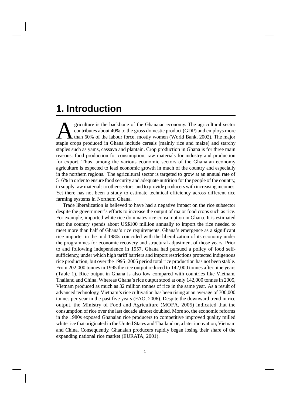### **1. Introduction**

griculture is the backbone of the Ghanaian economy. The agricultural sector contributes about 40% to the gross domestic product (GDP) and employs more than 60% of the labour force, mostly women (World Bank, 2002). The majo griculture is the backbone of the Ghanaian economy. The agricultural sector contributes about 40% to the gross domestic product (GDP) and employs more than 60% of the labour force, mostly women (World Bank, 2002). The major staples such as yams, cassava and plantain. Crop production in Ghana is for three main reasons: food production for consumption, raw materials for industry and production for export. Thus, among the various economic sectors of the Ghanaian economy agriculture is expected to lead economic growth in much of the country and especially in the northern regions.<sup>1</sup> The agricultural sector is targeted to grow at an annual rate of 5–6% in order to ensure food security and adequate nutrition for the people of the country, to supply raw materials to other sectors, and to provide producers with increasing incomes. Yet there has not been a study to estimate technical efficiency across different rice farming systems in Northern Ghana.

Trade liberalization is believed to have had a negative impact on the rice subsector despite the government's efforts to increase the output of major food crops such as rice. For example, imported white rice dominates rice consumption in Ghana. It is estimated that the country spends about US\$100 million annually to import the rice needed to meet more than half of Ghana's rice requirements. Ghana's emergence as a significant rice importer in the mid 1980s coincided with the liberalization of its economy under the programmes for economic recovery and structural adjustment of those years. Prior to and following independence in 1957, Ghana had pursued a policy of food selfsufficiency, under which high tariff barriers and import restrictions protected indigenous rice production, but over the 1995–2005 period total rice production has not been stable. From 202,000 tonnes in 1995 the rice output reduced to 142,000 tonnes after nine years (Table 1). Rice output in Ghana is also low compared with countries like Vietnam, Thailand and China. Whereas Ghana's rice output stood at only 142,000 tonnes in 2005, Vietnam produced as much as 32 million tonnes of rice in the same year. As a result of advanced technology, Vietnam's rice cultivation has been rising at an average of 700,000 tonnes per year in the past five years (FAO, 2006). Despite the downward trend in rice output, the Ministry of Food and Agriculture (MOFA, 2005) indicated that the consumption of rice over the last decade almost doubled. More so, the economic reforms in the 1980s exposed Ghanaian rice producers to competitive improved quality milled white rice that originated in the United States and Thailand or, a later innovation, Vietnam and China. Consequently, Ghanaian producers rapidly began losing their share of the expanding national rice market (EURATA, 2001).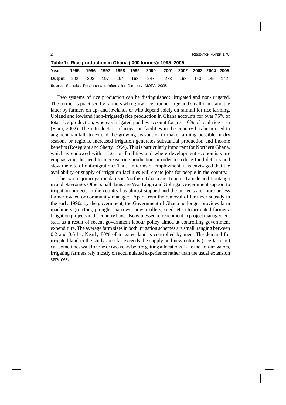| 2                                                          |      |      |      |           |     |      |      |      |      |                | RESEARCH PAPER 178 |
|------------------------------------------------------------|------|------|------|-----------|-----|------|------|------|------|----------------|--------------------|
| Table 1: Rice production in Ghana ('000 tonnes): 1995–2005 |      |      |      |           |     |      |      |      |      |                |                    |
| Year                                                       | 1995 | 1996 | 1997 | 1998 1999 |     | 2000 | 2001 | 2002 |      | 2003 2004 2005 |                    |
| Output                                                     | 202  | 203  | 197  | 194       | 168 | 247  | 273  | 168  | 143. | 145.           | 142                |
|                                                            |      |      |      |           |     |      |      |      |      |                |                    |

**Source**: Statistics, Research and Information Directory, MOFA, 2005.

Two systems of rice production can be distinguished: irrigated and non-irrigated. The former is practised by farmers who grow rice around large and small dams and the latter by farmers on up- and lowlands or who depend solely on rainfall for rice farming. Upland and lowland (non-irrigated) rice production in Ghana accounts for over 75% of total rice production, whereas irrigated paddies account for just 10% of total rice area (Seini, 2002). The introduction of irrigation facilities in the country has been used to augment rainfall, to extend the growing season, or to make farming possible in dry seasons or regions. Increased irrigation generates substantial production and income benefits (Rosegrant and Shetty, 1994). This is particularly important for Northern Ghana, which is endowed with irrigation facilities and where development economists are emphasizing the need to increase rice production in order to reduce food deficits and slow the rate of out-migration.<sup>2</sup> Thus, in terms of employment, it is envisaged that the availability or supply of irrigation facilities will create jobs for people in the country.

The two major irrigation dams in Northern Ghana are Tono in Tamale and Bontanga in and Navrongo. Other small dams are Vea, Libga and Golinga. Government support to irrigation projects in the country has almost stopped and the projects are more or less farmer owned or community managed. Apart from the removal of fertilizer subsidy in the early 1990s by the government, the Government of Ghana no longer provides farm machinery (tractors, ploughs, harrows, power tillers, seed, etc.) to irrigated farmers. Irrigation projects in the country have also witnessed retrenchment in project management staff as a result of recent government labour policy aimed at controlling government expenditure. The average farm sizes in both irrigation schemes are small, ranging between 0.2 and 0.6 ha. Nearly 80% of irrigated land is controlled by men. The demand for irrigated land in the study area far exceeds the supply and new entrants (rice farmers) can sometimes wait for one or two years before getting allocations. Like the non-irrigators, irrigating farmers rely mostly on accumulated experience rather than the usual extension services.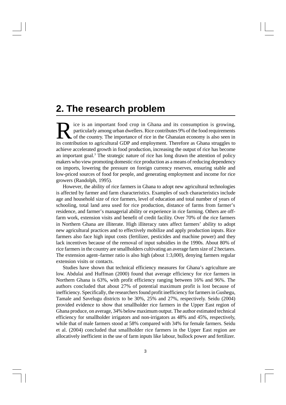# **2. The research problem**

Its contribution to agricultural GDP and employment. Therefore as Ghana struggles to this contribution to agricultural GDP and employment. Therefore as Ghana struggles to ice is an important food crop in Ghana and its consumption is growing, particularly among urban dwellers. Rice contributes 9% of the food requirements of the country. The importance of rice in the Ghanaian economy is also seen in achieve accelerated growth in food production, increasing the output of rice has become an important goal.<sup>3</sup> The strategic nature of rice has long drawn the attention of policy makers who view promoting domestic rice production as a means of reducing dependency on imports, lowering the pressure on foreign currency reserves, ensuring stable and low-priced sources of food for people, and generating employment and income for rice growers (Randolph, 1995).

However, the ability of rice farmers in Ghana to adopt new agricultural technologies is affected by farmer and farm characteristics. Examples of such characteristics include age and household size of rice farmers, level of education and total number of years of schooling, total land area used for rice production, distance of farms from farmer's residence, and farmer's managerial ability or experience in rice farming. Others are offfarm work, extension visits and benefit of credit facility. Over 70% of the rice farmers in Northern Ghana are illiterate. High illiteracy rates affect farmers' ability to adopt new agricultural practices and to effectively mobilize and apply production inputs. Rice farmers also face high input costs (fertilizer, pesticides and machine power) and they lack incentives because of the removal of input subsidies in the 1990s. About 80% of rice farmers in the country are smallholders cultivating an average farm size of 2 hectares. The extension agent–farmer ratio is also high (about 1:3,000), denying farmers regular extension visits or contacts.

Studies have shown that technical efficiency measures for Ghana's agriculture are low. Abdulai and Huffman (2000) found that average efficiency for rice farmers in Northern Ghana is 63%, with profit efficiency ranging between 16% and 96%. The authors concluded that about 27% of potential maximum profit is lost because of inefficiency. Specifically, the researchers found profit inefficiency for farmers in Gushegu, Tamale and Savelugu districts to be 30%, 25% and 27%, respectively. Seidu (2004) provided evidence to show that smallholder rice farmers in the Upper East region of Ghana produce, on average, 34% below maximum output. The author estimated technical efficiency for smallholder irrigators and non-irrigators as 48% and 45%, respectively, while that of male farmers stood at 58% compared with 34% for female farmers. Seidu et al. (2004) concluded that smallholder rice farmers in the Upper East region are allocatively inefficient in the use of farm inputs like labour, bullock power and fertilizer.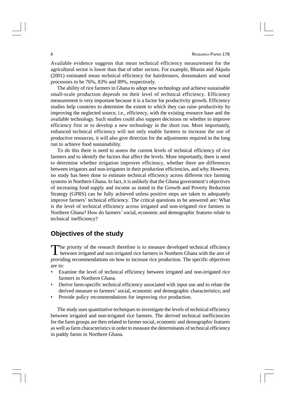Available evidence suggests that mean technical efficiency measurement for the agricultural sector is lower than that of other sectors. For example, Bhasin and Akpalu (2001) estimated mean technical efficiency for hairdressers, dressmakers and wood processors to be 76%, 83% and 89%, respectively.

The ability of rice farmers in Ghana to adopt new technology and achieve sustainable small-scale production depends on their level of technical efficiency. Efficiency measurement is very important because it is a factor for productivity growth. Efficiency studies help countries to determine the extent to which they can raise productivity by improving the neglected source, i.e., efficiency, with the existing resource base and the available technology. Such studies could also support decisions on whether to improve efficiency first or to develop a new technology in the short run. More importantly, enhanced technical efficiency will not only enable farmers to increase the use of productive resources, it will also give direction for the adjustments required in the long run to achieve food sustainability.

To do this there is need to assess the current levels of technical efficiency of rice farmers and to identify the factors that affect the levels. More importantly, there is need to determine whether irrigation improves efficiency, whether there are differences between irrigators and non-irrigators in their production efficiencies, and why. However, no study has been done to estimate technical efficiency across different rice farming systems in Northern Ghana. In fact, it is unlikely that the Ghana government's objectives of increasing food supply and income as stated in the Growth and Poverty Reduction Strategy (GPRS) can be fully achieved unless positive steps are taken to adequately improve farmers' technical efficiency. The critical questions to be answered are: What is the level of technical efficiency across irrigated and non-irrigated rice farmers in Northern Ghana? How do farmers' social, economic and demographic features relate to technical inefficiency?

### **Objectives of the study**

The priority of the research therefore is to measure developed technical efficiency<br>between irrigated and non-irrigated rice farmers in Northern Ghana with the aim of **L** between irrigated and non-irrigated rice farmers in Northern Ghana with the aim of providing recommendations on how to increase rice production. The specific objectives are to:

- Examine the level of technical efficiency between irrigated and non-irrigated rice farmers in Northern Ghana.
- Derive farm-specific technical efficiency associated with input use and to relate the derived measure to farmers' social, economic and demographic characteristics; and
- Provide policy recommendations for improving rice production.

The study uses quantitative techniques to investigate the levels of technical efficiency between irrigated and non-irrigated rice farmers. The derived technical inefficiencies for the farm groups are then related to farmer social, economic and demographic features as well as farm characteristics in order to measure the determinants of technical efficiency in paddy farms in Northern Ghana.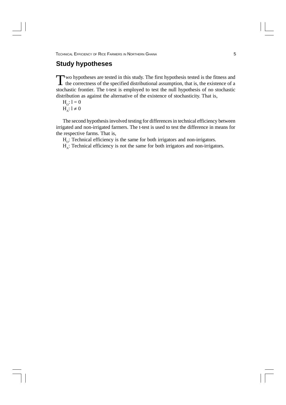### **Study hypotheses**

Two hypotheses are tested in this study. The first hypothesis tested is the fitness and the correctness of the specified distributional assumption, that is, the existence of a the correctness of the specified distributional assumption, that is, the existence of a stochastic frontier. The t-test is employed to test the null hypothesis of no stochastic distribution as against the alternative of the existence of stochasticity. That is,

$$
H_o\colon l=0
$$

 $H_A$ :  $l \neq 0$ 

The second hypothesis involved testing for differences in technical efficiency between irrigated and non-irrigated farmers. The t-test is used to test the difference in means for the respective farms. That is,

 $H<sub>o</sub>$ : Technical efficiency is the same for both irrigators and non-irrigators.

 $H_A$ : Technical efficiency is not the same for both irrigators and non-irrigators.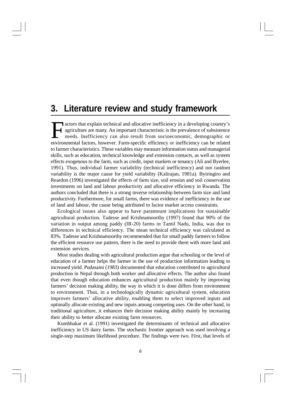## **3. Literature review and study framework**

F actors that explain technical and allocative inefficiency in a developing country's agriculture are many. An important characteristic is the prevalence of subsistence needs. Inefficiency can also result from socioeconomic, demographic or environmental factors, however. Farm-specific efficiency or inefficiency can be related to farmer characteristics. These variables may measure information status and managerial skills, such as education, technical knowledge and extension contacts, as well as system effects exogenous to the farm, such as credit, input markets or tenancy (Ali and Byerlee, 1991). Thus, individual farmer variability (technical inefficiency) and not random variability is the major cause for yield variability (Kalirajan, 1981a). Byiringiro and Reardon (1996) investigated the effects of farm size, soil erosion and soil conservation investments on land and labour productivity and allocative efficiency in Rwanda. The authors concluded that there is a strong inverse relationship between farm size and land productivity. Furthermore, for small farms, there was evidence of inefficiency in the use of land and labour, the cause being attributed to factor market access constraints.

Ecological issues also appear to have paramount implications for sustainable agricultural production. Tadesse and Krishnamoorthy (1997) found that 90% of the variation in output among paddy (IR-20) farms in Tamil Nadu, India, was due to differences in technical efficiency. The mean technical efficiency was calculated as 83%. Tadesse and Krishnamoorthy recommended that for small paddy farmers to follow the efficient resource use pattern, there is the need to provide them with more land and extension services.

Most studies dealing with agricultural production argue that schooling or the level of education of a farmer helps the farmer in the use of production information leading to increased yield. Pudasaini (1983) documented that education contributed to agricultural production in Nepal through both worker and allocative effects. The author also found that even though education enhances agricultural production mainly by improving farmers' decision making ability, the way in which it is done differs from environment to environment. Thus, in a technologically dynamic agricultural system, education improves farmers' allocative ability, enabling them to select improved inputs and optimally allocate existing and new inputs among competing uses. On the other hand, in traditional agriculture, it enhances their decision making ability mainly by increasing their ability to better allocate existing farm resources.

Kumbhakar et al. (1991) investigated the determinants of technical and allocative inefficiency in US dairy farms. The stochastic frontier approach was used involving a single-step maximum likelihood procedure. The findings were two. First, that levels of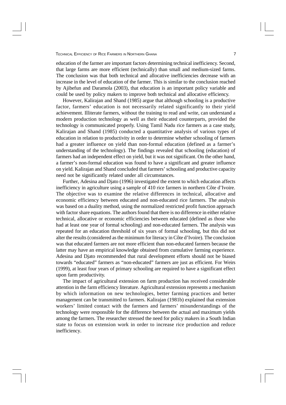education of the farmer are important factors determining technical inefficiency. Second, that large farms are more efficient (technically) than small and medium-sized farms. The conclusion was that both technical and allocative inefficiencies decrease with an increase in the level of education of the farmer. This is similar to the conclusion reached by Ajibefun and Daramola (2003), that education is an important policy variable and could be used by policy makers to improve both technical and allocative efficiency.

However, Kalirajan and Shand (1985) argue that although schooling is a productive factor, farmers' education is not necessarily related significantly to their yield achievement. Illiterate farmers, without the training to read and write, can understand a modern production technology as well as their educated counterparts, provided the technology is communicated properly. Using Tamil Nadu rice farmers as a case study, Kalirajan and Shand (1985) conducted a quantitative analysis of various types of education in relation to productivity in order to determine whether schooling of farmers had a greater influence on yield than non-formal education (defined as a farmer's understanding of the technology). The findings revealed that schooling (education) of farmers had an independent effect on yield, but it was not significant. On the other hand, a farmer's non-formal education was found to have a significant and greater influence on yield. Kalirajan and Shand concluded that farmers' schooling and productive capacity need not be significantly related under all circumstances.

Further, Adesina and Djato (1996) investigated the extent to which education affects inefficiency in agriculture using a sample of 410 rice farmers in northern Côte d'Ivoire. The objective was to examine the relative differences in technical, allocative and economic efficiency between educated and non-educated rice farmers. The analysis was based on a duality method, using the normalized restricted profit function approach with factor share equations. The authors found that there is no difference in either relative technical, allocative or economic efficiencies between educated (defined as those who had at least one year of formal schooling) and non-educated farmers. The analysis was repeated for an education threshold of six years of formal schooling, but this did not alter the results (considered as the minimum for literacy in Côte d'Ivoire). The conclusion was that educated farmers are not more efficient than non-educated farmers because the latter may have an empirical knowledge obtained from cumulative farming experience. Adesina and Djato recommended that rural development efforts should not be biased towards "educated" farmers as "non-educated" farmers are just as efficient. For Weirs (1999), at least four years of primary schooling are required to have a significant effect upon farm productivity.

The impact of agricultural extension on farm production has received considerable attention in the farm efficiency literature. Agricultural extension represents a mechanism by which information on new technologies, better farming practices and better management can be transmitted to farmers. Kalirajan (1981b) explained that extension workers' limited contact with the farmers and farmers' misunderstandings of the technology were responsible for the difference between the actual and maximum yields among the farmers. The researcher stressed the need for policy makers in a South Indian state to focus on extension work in order to increase rice production and reduce inefficiency.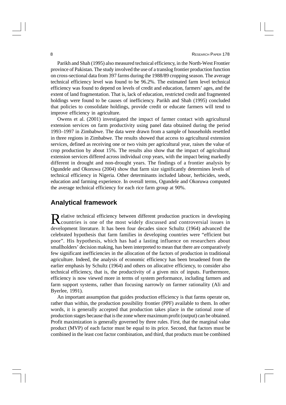#### 8 **8** RESEARCH PAPER 178

Parikh and Shah (1995) also measured technical efficiency, in the North-West Frontier province of Pakistan. The study involved the use of a translog frontier production function on cross-sectional data from 397 farms during the 1988/89 cropping season. The average technical efficiency level was found to be 96.2%. The estimated farm level technical efficiency was found to depend on levels of credit and education, farmers' ages, and the extent of land fragmentation. That is, lack of education, restricted credit and fragmented holdings were found to be causes of inefficiency. Parikh and Shah (1995) concluded that policies to consolidate holdings, provide credit or educate farmers will tend to improve efficiency in agriculture.

Owens et al. (2001) investigated the impact of farmer contact with agricultural extension services on farm productivity using panel data obtained during the period 1993–1997 in Zimbabwe. The data were drawn from a sample of households resettled in three regions in Zimbabwe. The results showed that access to agricultural extension services, defined as receiving one or two visits per agricultural year, raises the value of crop production by about 15%. The results also show that the impact of agricultural extension services differed across individual crop years, with the impact being markedly different in drought and non-drought years. The findings of a frontier analysis by Ogundele and Okoruwa (2004) show that farm size significantly determines levels of technical efficiency in Nigeria. Other determinants included labour, herbicides, seeds, education and farming experience. In overall terms, Ogundele and Okoruwa computed the average technical efficiency for each rice farm group at 90%.

### **Analytical framework**

Relative technical efficiency between different production practices in developing<br>Countries is one of the most widely discussed and controversial issues in elative technical efficiency between different production practices in developing development literature. It has been four decades since Schultz (1964) advanced the celebrated hypothesis that farm families in developing countries were "efficient but poor". His hypothesis, which has had a lasting influence on researchers about smallholders' decision making, has been interpreted to mean that there are comparatively few significant inefficiencies in the allocation of the factors of production in traditional agriculture. Indeed, the analysis of economic efficiency has been broadened from the earlier emphasis by Schultz (1964) and others on allocative efficiency, to consider also technical efficiency, that is, the productivity of a given mix of inputs. Furthermore, efficiency is now viewed more in terms of system performance, including farmers and farm support systems, rather than focusing narrowly on farmer rationality (Ali and Byerlee, 1991).

An important assumption that guides production efficiency is that farms operate on, rather than within, the production possibility frontier (PPF) available to them. In other words, it is generally accepted that production takes place in the rational zone of production stages because that is the zone where maximum profit (output) can be obtained. Profit maximization is generally governed by three rules. First, that the marginal value product (MVP) of each factor must be equal to its price. Second, that factors must be combined in the least cost factor combination, and third, that products must be combined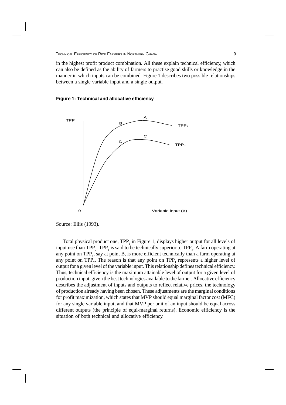in the highest profit product combination. All these explain technical efficiency, which can also be defined as the ability of farmers to practise good skills or knowledge in the manner in which inputs can be combined. Figure 1 describes two possible relationships between a single variable input and a single output.

### **Figure 1: Technical and allocative efficiency**



Source: Ellis (1993).

Total physical product one, TPP<sub>1</sub> in Figure 1, displays higher output for all levels of input use than TPP<sub>2</sub>. TPP<sub>1</sub> is said to be technically superior to TPP<sub>2</sub>. A farm operating at any point on  $TPP_1$ , say at point B, is more efficient technically than a farm operating at any point on  $TPP_2$ . The reason is that any point on  $TPP_1$  represents a higher level of output for a given level of the variable input. This relationship defines technical efficiency. Thus, technical efficiency is the maximum attainable level of output for a given level of production input, given the best technologies available to the farmer. Allocative efficiency describes the adjustment of inputs and outputs to reflect relative prices, the technology of production already having been chosen. These adjustments are the marginal conditions for profit maximization, which states that MVP should equal marginal factor cost (MFC) for any single variable input, and that MVP per unit of an input should be equal across different outputs (the principle of equi-marginal returns). Economic efficiency is the situation of both technical and allocative efficiency.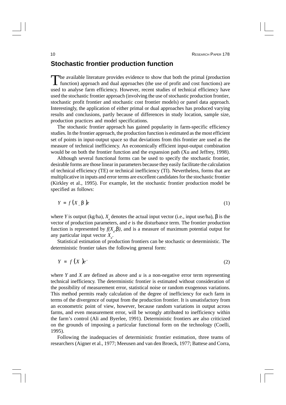### **Stochastic frontier production function**

The available literature provides evidence to show that both the primal (production function) approach and dual approaches (the use of profit and cost functions) are The available literature provides evidence to show that both the primal (production used to analyse farm efficiency. However, recent studies of technical efficiency have used the stochastic frontier approach (involving the use of stochastic production frontier, stochastic profit frontier and stochastic cost frontier models) or panel data approach. Interestingly, the application of either primal or dual approaches has produced varying results and conclusions, partly because of differences in study location, sample size, production practices and model specifications.

The stochastic frontier approach has gained popularity in farm-specific efficiency studies. In the frontier approach, the production function is estimated as the most efficient set of points in input-output space so that deviations from this frontier are used as the measure of technical inefficiency. An economically efficient input-output combination would be on both the frontier function and the expansion path (Xu and Jeffrey, 1998).

Although several functional forms can be used to specify the stochastic frontier, desirable forms are those linear in parameters because they easily facilitate the calculation of technical efficiency (TE) or technical inefficiency (TI). Nevertheless, forms that are multiplicative in inputs and error terms are excellent candidates for the stochastic frontier (Kirkley et al., 1995). For example, let the stochastic frontier production model be specified as follows:

$$
Y = f\left(X_{a} \mathbf{b}\right)e\tag{1}
$$

where *Y* is output (kg/ha),  $X_a$  denotes the actual input vector (i.e., input use/ha),  $\boldsymbol{b}$  is the vector of production parameters, and *e* is the disturbance term. The frontier production function is represented by  $f(X_a, b)$ , and is a measure of maximum potential output for any particular input vector *X<sup>a</sup>* .

Statistical estimation of production frontiers can be stochastic or deterministic. The deterministic frontier takes the following general form:

$$
Y = f\left(X\right)e^{\alpha} \tag{2}
$$

where *Y* and *X* are defined as above and  $u$  is a non-negative error term representing technical inefficiency. The deterministic frontier is estimated without consideration of the possibility of measurement error, statistical noise or random exogenous variations. This method permits ready calculation of the degree of inefficiency for each farm in terms of the divergence of output from the production frontier. It is unsatisfactory from an econometric point of view, however, because random variations in output across farms, and even measurement error, will be wrongly attributed to inefficiency within the farm's control (Ali and Byerlee, 1991). Deterministic frontiers are also criticized on the grounds of imposing a particular functional form on the technology (Coelli, 1995).

Following the inadequacies of deterministic frontier estimation, three teams of researchers (Aigner et al., 1977; Meeusen and van den Broeck, 1977; Battese and Corra,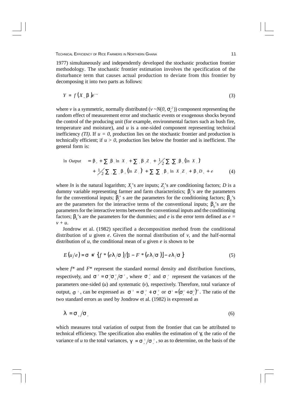1977) simultaneously and independently developed the stochastic production frontier methodology. The stochastic frontier estimation involves the specification of the disturbance term that causes actual production to deviate from this frontier by decomposing it into two parts as follows:

$$
Y = f\left(X_{a} \mathbf{b}\right)e^{x-a} \tag{3}
$$

where *v* is a symmetric, normally distributed (*v* ~*N*(*0*,  $S_v^2$ )) component representing the random effect of measurement error and stochastic events or exogenous shocks beyond the control of the producing unit (for example, environmental factors such as bush fire, temperature and moisture), and  $u$  is a one-sided component representing technical inefficiency *(TI)*. If  $u = 0$ , production lies on the stochastic frontier and production is technically efficient; if  $u > 0$ , production lies below the frontier and is inefficient. The general form is:

$$
\ln \text{ Output} = \mathbf{b}_{\circ} + \sum_{i} \mathbf{b}_{i} \ln X_{i} + \sum_{j} \mathbf{b}_{j} Z_{j} + \frac{1}{2} \sum_{i} \sum_{i} \mathbf{b}_{i} (\ln X_{i})^{2} + \frac{1}{2} \sum_{i} \sum_{j} \mathbf{b}_{j} (\ln Z_{j})^{2} + \sum_{i} \sum_{j} \mathbf{b}_{j} \ln X_{i} Z_{j} + \mathbf{b}_{i} D_{i} + e
$$
\n(4)

where *ln* is the natural logarithm;  $X_i$ 's are inputs;  $Z_j$ 's are conditioning factors; *D* is a dummy variable representing farmer and farm characteristics;  $\mathbf{b}_i$ 's are the parameters for the conventional inputs;  $\bm{b}_j$ 's are the parameters for the conditioning factors;  $\bm{b}_{ii}$ 's are the parameters for the interactive terms of the conventional inputs;  $\mathbf{b}_i$ 's are the parameters for the interactive terms between the conventional inputs and the conditioning factors;  $\mathbf{b}_k$ 's are the parameters for the dummies; and *e* is the error term defined as *e* = *v + u*.

Jondrow et al. (1982) specified a decomposition method from the conditional distribution of  $u$  given  $e$ . Given the normal distribution of  $v$ , and the half-normal distribution of *u*, the conditional mean of *u* given *e* is shown to be

$$
E(u/e) = \mathbf{s} *^{2} \{ f * (e\mathbf{I}/\mathbf{s}) / [1 - F * (e\mathbf{I}/\mathbf{s})] - e\mathbf{I}/\mathbf{s} \}
$$
(5)

where  $f^*$  and  $F^*$  represent the standard normal density and distribution functions, respectively, and  $\mathbf{s}^2 = \mathbf{s}^2 \cdot \mathbf{s}^2 / \mathbf{s}^2$ , where  $\mathbf{s}^2$  and  $\mathbf{s}^2$  represent the variances of the parameters one-sided (*u*) and systematic (*v*), respectively. Therefore, total variance of output,  $s^2$ , can be expressed as  $s^2 = s^2 + s^2$  or  $s^2 = (s^2 + s^2)^{1/2}$ . The ratio of the two standard errors as used by Jondrow et al. (1982) is expressed as

$$
I = \mathbf{S}_{\mu} / \mathbf{S}_{\nu} \tag{6}
$$

which measures total variation of output from the frontier that can be attributed to technical efficiency. The specification also enables the estimation of γ, the ratio of the variance of *u* to the total variances,  $g = s \frac{2}{v} / s \frac{3}{v}$ , so as to determine, on the basis of the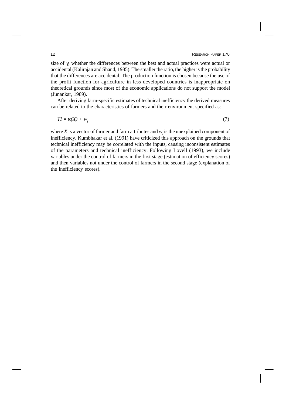#### **12** RESEARCH PAPER 178

size of *g*, whether the differences between the best and actual practices were actual or accidental (Kalirajan and Shand, 1985). The smaller the ratio, the higher is the probability that the differences are accidental. The production function is chosen because the use of the profit function for agriculture in less developed countries is inappropriate on theoretical grounds since most of the economic applications do not support the model (Junankar, 1989).

After deriving farm-specific estimates of technical inefficiency the derived measures can be related to the characteristics of farmers and their environment specified as:

$$
TI = \kappa(X) + w_i \tag{7}
$$

where *X* is a vector of farmer and farm attributes and  $w_i$  is the unexplained component of inefficiency. Kumbhakar et al. (1991) have criticized this approach on the grounds that technical inefficiency may be correlated with the inputs, causing inconsistent estimates of the parameters and technical inefficiency. Following Lovell (1993), we include variables under the control of farmers in the first stage (estimation of efficiency scores) and then variables not under the control of farmers in the second stage (explanation of the inefficiency scores).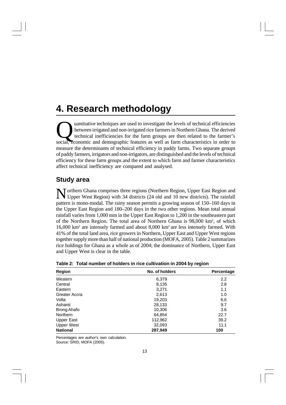# **4. Research methodology**

quantitative techniques are used to investigate the levels of technical efficiencies<br>between irrigated and non-irrigated rice farmers in Northern Ghana. The derived<br>technical inefficiencies for the farm groups are then rel uantitative techniques are used to investigate the levels of technical efficiencies between irrigated and non-irrigated rice farmers in Northern Ghana. The derived technical inefficiencies for the farm groups are then related to the farmer's measure the determinants of technical efficiency in paddy farms. Two separate groups of paddy farmers, irrigators and non-irrigators, are distinguished and the levels of technical efficiency for these farm groups and the extent to which farm and farmer characteristics affect technical inefficiency are compared and analysed.

### **Study area**

N orthern Ghana comprises three regions (Northern Region, Upper East Region and Upper West Region) with 34 districts (24 old and 10 new districts). The rainfall Upper West Region) with 34 districts (24 old and 10 new districts). The rainfall pattern is mono-modal. The rainy season permits a growing season of 150–160 days in the Upper East Region and 180–200 days in the two other regions. Mean total annual rainfall varies from 1,000 mm in the Upper East Region to 1,200 in the southeastern part of the Northern Region. The total area of Northern Ghana is 98,000 km<sup>2</sup>, of which 16,000 km<sup>2</sup> are intensely farmed and about 8,000 km2 are less intensely farmed. With 41% of the total land area, rice growers in Northern, Upper East and Upper West regions together supply more than half of national production (MOFA, 2005). Table 2 summarizes rice holdings for Ghana as a whole as of 2004; the dominance of Northern, Upper East and Upper West is clear in the table.

| Region             | No. of holders | Percentage |
|--------------------|----------------|------------|
| Western            | 6,379          | 2.2        |
| Central            | 8,135          | 2.8        |
| Eastern            | 3,271          | 1.1        |
| Greater Accra      | 2,613          | 1.0        |
| Volta              | 19,203         | 6.6        |
| Ashanti            | 28,133         | 9.7        |
| <b>Brong Ahafo</b> | 10,306         | 3.6        |
| Northern           | 64,854         | 22.7       |
| Upper East         | 112,962        | 39.2       |
| <b>Upper West</b>  | 32,093         | 11.1       |
| <b>National</b>    | 287,949        | 100        |

| Table 2: Total number of holders in rice cultivation in 2004 by region |  |  |  |  |  |  |
|------------------------------------------------------------------------|--|--|--|--|--|--|
|------------------------------------------------------------------------|--|--|--|--|--|--|

Percentages are author's own calculation. Source: SRID, MOFA (2005).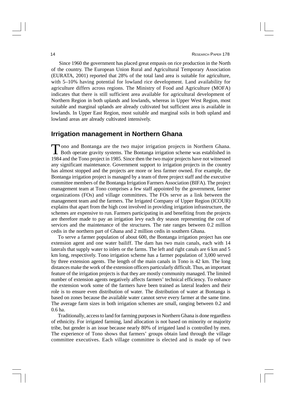Since 1960 the government has placed great empasis on rice production in the North of the country. The European Union Rural and Agricultural Temporary Association (EURATA, 2001) reported that 28% of the total land area is suitable for agriculture, with 5–10% having potential for lowland rice development. Land availability for agriculture differs across regions. The Ministry of Food and Agriculture (MOFA) indicates that there is still sufficient area available for agricultural development of Northern Region in both uplands and lowlands, whereas in Upper West Region, most suitable and marginal uplands are already cultivated but sufficient area is available in lowlands. In Upper East Region, most suitable and marginal soils in both upland and lowland areas are already cultivated intensively.

### **Irrigation management in Northern Ghana**

Tono and Bontanga are the two major irrigation projects in Northern Ghana.<br>Both operate gravity systems. The Bontanga irrigation scheme was established in Tono and Bontanga are the two major irrigation projects in Northern Ghana. 1984 and the Tono project in 1985. Since then the two major projects have not witnessed any significant maintenance. Government support to irrigation projects in the country has almost stopped and the projects are more or less farmer owned. For example, the Bontanga irrigation project is managed by a team of three project staff and the executive committee members of the Bontanga Irrigation Farmers Association (BIFA). The project management team at Tono comprises a few staff appointed by the government, farmer organizations (FOs) and village committees. The FOs serve as a link between the management team and the farmers. The Irrigated Company of Upper Region (ICOUR) explains that apart from the high cost involved in providing irrigation infrastructure, the schemes are expensive to run. Farmers participating in and benefiting from the projects are therefore made to pay an irrigation levy each dry season representing the cost of services and the maintenance of the structures. The rate ranges between 0.2 million cedis in the northern part of Ghana and 2 million cedis in southern Ghana.

To serve a farmer population of about 600, the Bontanga irrigation project has one extension agent and one water bailiff. The dam has two main canals, each with 14 laterals that supply water to inlets or the farms. The left and right canals are 6 km and 5 km long, respectively. Tono irrigation scheme has a farmer population of 3,000 served by three extension agents. The length of the main canals in Tono is 42 km. The long distances make the work of the extension officers particularly difficult. Thus, an important feature of the irrigation projects is that they are mostly community managed. The limited number of extension agents negatively affects farmers' technical efficiency. To enhance the extension work some of the farmers have been trained as lateral leaders and their role is to ensure even distribution of water. The distribution of water at Bontanga is based on zones because the available water cannot serve every farmer at the same time. The average farm sizes in both irrigation schemes are small, ranging between 0.2 and 0.6 ha.

Traditionally, access to land for farming purposes in Northern Ghana is done regardless of ethnicity. For irrigated farming, land allocation is not based on minority or majority tribe, but gender is an issue because nearly 80% of irrigated land is controlled by men. The experience of Tono shows that farmers' groups obtain land through the village committee executives. Each village committee is elected and is made up of two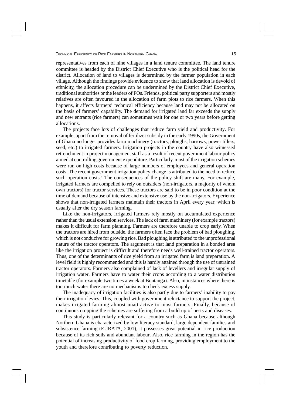representatives from each of nine villages in a land tenure committee. The land tenure committee is headed by the District Chief Executive who is the political head for the district. Allocation of land to villages is determined by the farmer population in each village. Although the findings provide evidence to show that land allocation is devoid of ethnicity, the allocation procedure can be undermined by the District Chief Executive, traditional authorities or the leaders of FOs. Friends, political party supporters and mostly relatives are often favoured in the allocation of farm plots to rice farmers. When this happens, it affects farmers' technical efficiency because land may not be allocated on the basis of farmers' capability. The demand for irrigated land far exceeds the supply and new entrants (rice farmers) can sometimes wait for one or two years before getting allocations.

The projects face lots of challenges that reduce farm yield and productivity. For example, apart from the removal of fertilizer subsidy in the early 1990s, the Government of Ghana no longer provides farm machinery (tractors, ploughs, harrows, power tillers, seed, etc.) to irrigated farmers. Irrigation projects in the country have also witnessed retrenchment in project management staff as a result of recent government labour policy aimed at controlling government expenditure. Particularly, most of the irrigation schemes were run on high costs because of large numbers of employees and general operation costs. The recent government irrigation policy change is attributed to the need to reduce such operation costs.<sup>4</sup> The consequences of the policy shift are many. For example, irrigated farmers are compelled to rely on outsiders (non-irrigators, a majority of whom own tractors) for tractor services. These tractors are said to be in poor condition at the time of demand because of intensive and extensive use by the non-irrigators. Experience shows that non-irrigated farmers maintain their tractors in April every year, which is usually after the dry season farming.

Like the non-irrigators, irrigated farmers rely mostly on accumulated experience rather than the usual extension services. The lack of farm machinery (for example tractors) makes it difficult for farm planning. Farmers are therefore unable to crop early. When the tractors are hired from outside, the farmers often face the problem of bad ploughing, which is not conducive for growing rice. Bad ploughing is attributed to the unprofessional nature of the tractor operators. The argument is that land preparation in a bonded area like the irrigation project is difficult and therefore needs well-trained tractor operators. Thus, one of the determinants of rice yield from an irrigated farm is land preparation. A level field is highly recommended and this is hardly attained through the use of untrained tractor operators. Farmers also complained of lack of levellers and irregular supply of irrigation water. Farmers have to water their crops according to a water distribution timetable (for example two times a week at Bontanga). Also, in instances where there is too much water there are no mechanisms to check excess supply.

The inadequacy of irrigation facilities is also partly due to farmers' inability to pay their irrigation levies. This, coupled with government reluctance to support the project, makes irrigated farming almost unattractive to most farmers. Finally, because of continuous cropping the schemes are suffering from a build up of pests and diseases.

This study is particularly relevant for a country such as Ghana because although Northern Ghana is characterized by low literacy standard, large dependent families and subsistence farming (EURATA, 2001), it possesses great potential in rice production because of its rich soils and abundant labour. Also, rice farming in the region has the potential of increasing productivity of food crop farming, providing employment to the youth and therefore contributing to poverty reduction.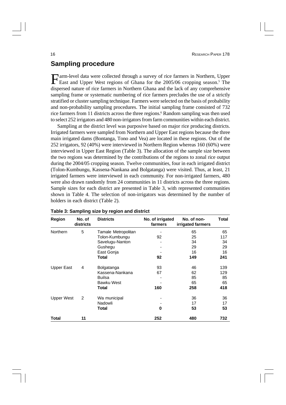### **Sampling procedure**

Farm-level data were collected through a survey of rice farmers in Northern, Upper East and Upper West regions of Ghana for the 2005/06 cropping season.<sup>5</sup> The arm-level data were collected through a survey of rice farmers in Northern, Upper dispersed nature of rice farmers in Northern Ghana and the lack of any comprehensive sampling frame or systematic numbering of rice farmers precludes the use of a strictly stratified or cluster sampling technique. Farmers were selected on the basis of probability and non-probability sampling procedures. The initial sampling frame consisted of 732 rice farmers from 11 districts across the three regions.<sup>6</sup> Random sampling was then used to select 252 irrigators and 480 non-irrigators from farm communities within each district.

Sampling at the district level was purposive based on major rice producing districts. Irrigated farmers were sampled from Northern and Upper East regions because the three main irrigated dams (Bontanga, Tono and Vea) are located in these regions. Out of the 252 irrigators, 92 (40%) were interviewed in Northern Region whereas 160 (60%) were interviewed in Upper East Region (Table 3). The allocation of the sample size between the two regions was determined by the contributions of the regions to zonal rice output during the 2004/05 cropping season. Twelve communities, four in each irrigated district (Tolon-Kumbungu, Kassena-Nankana and Bolgatanga) were visited. Thus, at least, 21 irrigated farmers were interviewed in each community. For non-irrigated farmers, 480 were also drawn randomly from 24 communities in 11 districts across the three regions. Sample sizes for each district are presented in Table 3, with represented communities shown in Table 4. The selection of non-irrigators was determined by the number of holders in each district (Table 2).

| Region     | No. of<br>districts | <b>Districts</b>    | No. of irrigated<br>farmers | No. of non-<br>irrigated farmers | Total |
|------------|---------------------|---------------------|-----------------------------|----------------------------------|-------|
| Northern   | 5                   | Tamale Metropolitan |                             | 65                               | 65    |
|            |                     | Tolon-Kumbungu      | 92                          | 25                               | 117   |
|            |                     | Savelugu-Nanton     |                             | 34                               | 34    |
|            |                     | Gushegu             |                             | 29                               | 29    |
|            |                     | East Gonja          |                             | 16                               | 16    |
|            |                     | Total               | 92                          | 149                              | 241   |
| Upper East | 4                   | Bolgatanga          | 93                          | 46                               | 139   |
|            |                     | Kassena-Nankana     | 67                          | 62                               | 129   |
|            |                     | Builsa              |                             | 85                               | 85    |
|            |                     | Bawku West          |                             | 65                               | 65    |
|            |                     | Total               | 160                         | 258                              | 418   |
| Upper West | 2                   | Wa municipal        |                             | 36                               | 36    |
|            |                     | Nadowli             |                             | 17                               | 17    |
|            |                     | Total               | 0                           | 53                               | 53    |
| Total      | 11                  |                     | 252                         | 480                              | 732   |

#### **Table 3: Sampling size by region and district**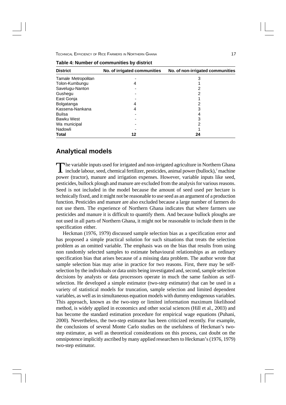| No. of irrigated communities | No. of non-irrigated communities |
|------------------------------|----------------------------------|
|                              | 3                                |
| 4                            |                                  |
|                              |                                  |
|                              |                                  |
|                              |                                  |
| 4                            |                                  |
| 4                            | 3                                |
|                              |                                  |
|                              | 3                                |
|                              |                                  |
|                              |                                  |
| 12                           | 24                               |
|                              |                                  |

#### **Table 4: Number of communities by district**

### **Analytical models**

The variable inputs used for irrigated and non-irrigated agriculture in Northern Ghana include labour, seed, chemical fertilizer, pesticides, animal power (bullock),<sup>7</sup> machine he variable inputs used for irrigated and non-irrigated agriculture in Northern Ghana power (tractor), manure and irrigation expenses. However, variable inputs like seed, pesticides, bullock plough and manure are excluded from the analysis for various reasons. Seed is not included in the model because the amount of seed used per hectare is technically fixed, and it might not be reasonable to use seed as an argument of a production function. Pesticides and manure are also excluded because a large number of farmers do not use them. The experience of Northern Ghana indicates that where farmers use pesticides and manure it is difficult to quantify them. And because bullock ploughs are not used in all parts of Northern Ghana, it might not be reasonable to include them in the specification either.

Heckman (1976, 1979) discussed sample selection bias as a specification error and has proposed a simple practical solution for such situations that treats the selection problem as an omitted variable. The emphasis was on the bias that results from using non randomly selected samples to estimate behavioural relationships as an ordinary specification bias that arises because of a missing data problem. The author wrote that sample selection bias may arise in practice for two reasons. First, there may be selfselection by the individuals or data units being investigated and, second, sample selection decisions by analysts or data processors operate in much the same fashion as selfselection. He developed a simple estimator (two-step estimator) that can be used in a variety of statistical models for truncation, sample selection and limited dependent variables, as well as in simultaneous equation models with dummy endogenous variables. This approach, known as the two-step or limited information maximum likelihood method, is widely applied in economics and other social sciences (Hill et al., 2003) and has become the standard estimation procedure for empirical wage equations (Puhani, 2000). Nevertheless, the two-step estimator has been criticized recently. For example, the conclusions of several Monte Carlo studies on the usefulness of Heckman's twostep estimator, as well as theoretical considerations on this process, cast doubt on the omnipotence implicitly ascribed by many applied researchers to Heckman's (1976, 1979) two-step estimator.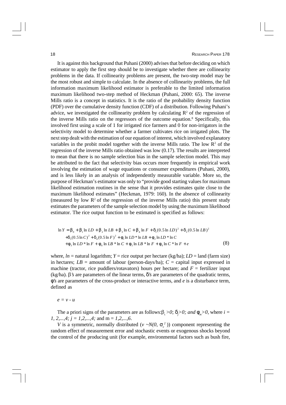It is against this background that Puhani (2000) advises that before deciding on which estimator to apply the first step should be to investigate whether there are collinearity problems in the data. If collinearity problems are present, the two-step model may be the most robust and simple to calculate. In the absence of collinearity problems, the full information maximum likelihood estimator is preferable to the limited information maximum likelihood two-step method of Heckman (Puhani, 2000: 65). The inverse Mills ratio is a concept in statistics. It is the ratio of the probability density function (PDF) over the cumulative density function (CDF) of a distribution. Following Puhani's advice, we investigated the collinearity problem by calculating  $\mathbb{R}^2$  of the regression of the inverse Mills ratio on the regressors of the outcome equation.<sup>8</sup> Specifically, this involved first using a scale of 1 for irrigated rice farmers and 0 for non-irrigators in the selectivity model to determine whether a farmer cultivates rice on irrigated plots. The next step dealt with the estimation of our equation of interest, which involved explanatory variables in the probit model together with the inverse Mills ratio. The low  $\mathbb{R}^2$  of the regression of the inverse Mills ratio obtained was low (0.17). The results are interpreted to mean that there is no sample selection bias in the sample selection model. This may be attributed to the fact that selectivity bias occurs more frequently in empirical work involving the estimation of wage equations or consumer expenditures (Puhani, 2000), and is less likely in an analysis of independently measurable variable. More so, the purpose of Heckman's estimator was only to "provide good starting values for maximum likelihood estimation routines in the sense that it provides estimates quite close to the maximum likelihood estimates" (Heckman, 1979: 160). In the absence of collinearity (measured by low  $\mathbb{R}^2$  of the regression of the inverse Mills ratio) this present study estimates the parameters of the sample selection model by using the maximum likelihood estimator. The rice output function to be estimated is specified as follows:

$$
\ln Y = \mathbf{b}_0 + \mathbf{b}_1 \ln LD + \mathbf{b}_2 \ln LB + \mathbf{b}_3 \ln C + \mathbf{b}_4 \ln F + \mathbf{d}_1 (0.5 \ln LD)^2 + \mathbf{d}_2 (0.5 \ln LB)^2
$$
  
+ $\mathbf{d}_3 (0.5 \ln C)^2 + \mathbf{d}_4 (0.5 \ln F)^2 + \mathbf{f}_1 \ln LD * \ln LB + \mathbf{f}_2 \ln LD * \ln C$   
+ $\mathbf{f}_3 \ln LD * \ln F + \mathbf{f}_4 \ln LB * \ln C + \mathbf{f}_5 \ln LB * \ln F + \mathbf{f}_6 \ln C * \ln F + e$  (8)

where,  $ln =$  natural logarithm;  $Y =$  rice output per hectare (kg/ha);  $LD =$  land (farm size) in hectares;  $LB =$  amount of labour (person-days/ha);  $C =$  capital input expressed in machine (tractor, rice puddlers/rotavators) hours per hectare; and  $F =$  fertilizer input (kg/ha). b*'s* are parameters of the linear terms, *d's* are parameters of the quadratic terms, *f's* are parameters of the cross-product or interactive terms, and *e* is a disturbance term, defined as

*e = v - u*

The a priori signs of the parameters are as follows: $\beta$ ,  $>0$ ;  $d > 0$ ; and  $f<sub>m</sub> > 0$ , where  $i =$ *1, 2,...,4; j = 1,2,...,4;* and m = *1,2,...,6*.

*V* is a symmetric, normally distributed ( $\nu \sim N(0, s<sub>v</sub><sup>2</sup>)$ ) component representing the random effect of measurement error and stochastic events or exogenous shocks beyond the control of the producing unit (for example, environmental factors such as bush fire,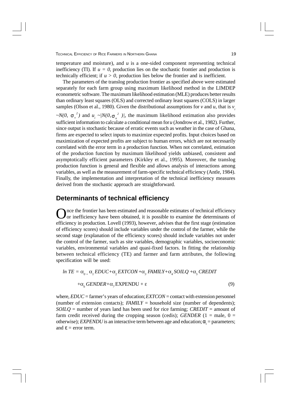temperature and moisture), and *u* is a one-sided component representing technical inefficiency (TI). If  $u = 0$ , production lies on the stochastic frontier and production is technically efficient; if  $u > 0$ , production lies below the frontier and is inefficient.

The parameters of the translog production frontier as specified above were estimated separately for each farm group using maximum likelihood method in the LIMDEP econometric software. The maximum likelihood estimation (MLE) produces better results than ordinary least squares (OLS) and corrected ordinary least squares (COLS) in larger samples (Olson et al., 1980). Given the distributional assumptions for *v* and *u*, that is  $v_i$ 

 $\sim N(0, s_y^2)$  and  $u_i \sim |N(0, s_y^2)|$ , the maximum likelihood estimation also provides sufficient information to calculate a conditional mean for *u* (Jondrow et al., 1982). Further, since output is stochastic because of erratic events such as weather in the case of Ghana, firms are expected to select inputs to maximize expected profits. Input choices based on maximization of expected profits are subject to human errors, which are not necessarily correlated with the error term in a production function. When not correlated, estimation of the production function by maximum likelihood yields unbiased, consistent and asymptotically efficient parameters (Kirkley et al., 1995). Moreover, the translog production function is general and flexible and allows analysis of interactions among variables, as well as the measurement of farm-specific technical efficiency (Antle, 1984). Finally, the implementation and interpretation of the technical inefficiency measures derived from the stochastic approach are straightforward.

### **Determinants of technical efficiency**

Once the frontier has been estimated and reasonable estimates of technical efficiency<br>or inefficiency have been obtained, it is possible to examine the determinants of nce the frontier has been estimated and reasonable estimates of technical efficiency efficiency in production. Lovell (1993), however, advises that the first stage (estimation of efficiency scores) should include variables under the control of the farmer, while the second stage (explanation of the efficiency scores) should include variables not under the control of the farmer, such as site variables, demographic variables, socioeconomic variables, environmental variables and quasi-fixed factors. In fitting the relationship between technical efficiency (TE) and farmer and farm attributes, the following specification will be used:

$$
ln TE = \alpha_{0+} \alpha_{1} EDUC + \alpha_{2} EXTCON + \alpha_{3} FAMILY + \alpha_{4} SOLQ + \alpha_{5} CREDIT
$$

$$
+ \alpha_{6} GENDER + \alpha_{7} EXPENDU + \varepsilon
$$
(9)

where, *EDUC* = farmer's years of education; *EXTCON* = contact with extension personnel (number of extension contacts); *FAMILY* = household size (number of dependents); *SOILQ* = number of years land has been used for rice farming; *CREDIT* = amount of farm credit received during the cropping season (cedis); *GENDER*  $(1 = male, 0 =$ otherwise); *EXPENDU* is an interactive term between age and education;  $a_i$  = parameters; and  $\mathbf{e} = \text{error term}$ .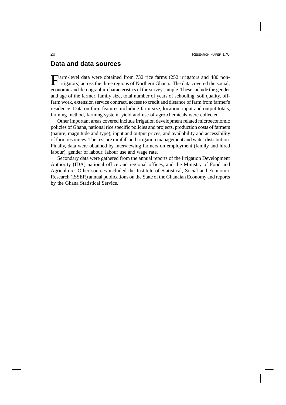### **Data and data sources**

Farm-level data were obtained from 732 rice farms (252 irrigators and 480 non-<br>irrigators) across the three regions of Northern Ghana. The data covered the social, irrigators) across the three regions of Northern Ghana. The data covered the social, economic and demographic characteristics of the survey sample. These include the gender and age of the farmer, family size, total number of years of schooling, soil quality, offfarm work, extension service contract, access to credit and distance of farm from farmer's residence. Data on farm features including farm size, location, input and output totals, farming method, farming system, yield and use of agro-chemicals were collected.

Other important areas covered include irrigation development related microeconomic policies of Ghana, national rice specific policies and projects, production costs of farmers (nature, magnitude and type), input and output prices, and availability and accessibility of farm resources. The rest are rainfall and irrigation management and water distribution. Finally, data were obtained by interviewing farmers on employment (family and hired labour), gender of labour, labour use and wage rate.

Secondary data were gathered from the annual reports of the Irrigation Development Authority (IDA) national office and regional offices, and the Ministry of Food and Agriculture. Other sources included the Institute of Statistical, Social and Economic Research (ISSER) annual publications on the State of the Ghanaian Economy and reports by the Ghana Statistical Service.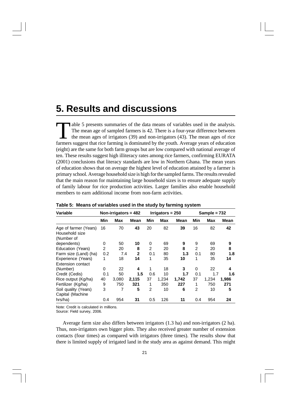# **5. Results and discussions**

The mean age of sampled farmers is 42. There is a four-year difference between the mean ages of irrigators (39) and non-irrigators (43). The mean ages of rice farmers suggest that rice farming is dominated by the youth. Av able 5 presents summaries of the data means of variables used in the analysis. The mean age of sampled farmers is 42. There is a four-year difference between the mean ages of irrigators (39) and non-irrigators (43). The mean ages of rice (eight) are the same for both farm groups but are low compared with national average of ten. These results suggest high illiteracy rates among rice farmers, confirming EURATA (2001) conclusions that literacy standards are low in Northern Ghana. The mean years of education shows that on average the highest level of education attained by a farmer is primary school. Average household size is high for the sampled farms. The results revealed that the main reason for maintaining large household sizes is to ensure adequate supply of family labour for rice production activities. Larger families also enable household members to earn additional income from non-farm activities.

| Variable                                              |     | Non-irrigators = $482$ |              |                | Irrigators = $250$ |       |                | Sample = 732 |       |
|-------------------------------------------------------|-----|------------------------|--------------|----------------|--------------------|-------|----------------|--------------|-------|
|                                                       | Min | Max                    | Mean         | Min            | Max                | Mean  | Min            | Max          | Mean  |
| Age of farmer (Years)<br>Household size<br>(Number of | 16  | 70                     | 43           | 20             | 82                 | 39    | 16             | 82           | 42    |
| dependents)                                           | 0   | 50                     | 10           | 0              | 69                 | 9     | 9              | 69           | 9     |
| Education (Years)                                     | 2   | 20                     | 8            | 2              | 20                 | 8     | $\overline{2}$ | 20           | 8     |
| Farm size (Land) (ha)                                 | 0.2 | 7.4                    | $\mathbf{2}$ | 0.1            | 80                 | 1.3   | 0.1            | 80           | 1.8   |
| Experience (Years)                                    | 1   | 18                     | 14           | 1              | 35                 | 10    | 1              | 35           | 14    |
| <b>Extension contact</b>                              |     |                        |              |                |                    |       |                |              |       |
| (Number)                                              | 0   | 22                     | 4            | 1              | 18                 | 3     | $\Omega$       | 22           | 4     |
| Credit (Cedis)                                        | 0.1 | 50                     | 1.5          | 0.6            | 10                 | 1.7   | 0.1            | 1.7          | 1.6   |
| Rice output (Kg/ha)                                   | 40  | 3,080                  | 2,115        | 37             | 1,234              | 1,742 | 37             | 1,234        | 1,986 |
| Fertilizer (Kg/ha)                                    | 9   | 750                    | 321          | 1              | 350                | 227   | 1              | 750          | 271   |
| Soil quality (Years)                                  | 3   | 7                      | 5            | $\mathfrak{p}$ | 10                 | 6     | $\overline{2}$ | 10           | 5     |
| Capital (Machine                                      |     |                        |              |                |                    |       |                |              |       |
| hrs/ha)                                               | 0.4 | 954                    | 31           | 0.5            | 126                | 11    | 0.4            | 954          | 24    |

#### **Table 5: Means of variables used in the study by farming system**

Note: Credit is calculated in millions.

Source: Field survey, 2006.

Average farm size also differs between irrigators (1.3 ha) and non-irrigators (2 ha). Thus, non-irrigators own bigger plots. They also received greater number of extension contacts (four times) as compared with irrigators (three times). The results show that there is limited supply of irrigated land in the study area as against demand. This might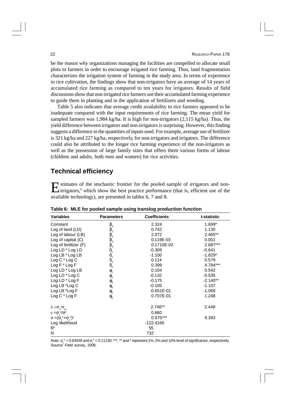be the reason why organizations managing the facilities are compelled to allocate small plots to farmers in order to encourage irrigated rice farming. Thus, land fragmentation characterizes the irrigation system of farming in the study area. In terms of experience in rice cultivation, the findings show that non-irrigators have an average of 14 years of accumulated rice farming as compared to ten years for irrigators. Results of field discussions show that non-irrigated rice farmers use their accumulated farming experience to guide them in planting and in the application of fertilizers and weeding.

Table 5 also indicates that average credit availability to rice farmers appeared to be inadequate compared with the input requirements of rice farming. The mean yield for sampled farmers was 1,984 kg/ha. It is high for non-irrigators (2,115 kg/ha). Thus, the yield difference between irrigators and non-irrigators is surprising. However, this finding suggests a difference in the quantities of inputs used. For example, average use of fertilizer is 321 kg/ha and 227 kg/ha, respectively, for non-irrigators and irrigators. The difference could also be attributed to the longer rice farming experience of the non-irrigators as well as the possession of large family sizes that offers them various forms of labour (children and adults, both men and women) for rice activities.

### **Technical efficiency**

Extimates of the stochastic frontier for the pooled sample of irrigators and non-<br>irrigators,<sup>9</sup> which show the best practice performance (that is, efficient use of the I stimates of the stochastic frontier for the pooled sample of irrigators and nonavailable technology), are presented in tables 6, 7 and 8.

|                                                | ייו ש                                                |                     |             |  |  |  |  |  |
|------------------------------------------------|------------------------------------------------------|---------------------|-------------|--|--|--|--|--|
| <b>Variables</b>                               | <b>Parameters</b>                                    | <b>Coefficients</b> | t-statistic |  |  |  |  |  |
| Constant                                       | $\beta_{0}$                                          | 2.324               | 1.699*      |  |  |  |  |  |
| Log of land (LD)                               | $\beta_1$                                            | 0.742               | 1.130       |  |  |  |  |  |
| Log of labour (LB)                             | $\beta_{2}$                                          | 2.072               | 2.465**     |  |  |  |  |  |
| Log of capital $(C)$                           | $\beta_3^-$                                          | 0.119E-03           | 0.001       |  |  |  |  |  |
| Log of fertilizer (F)                          | $\beta_{4}$                                          | 0.1710E-02          | 2.687***    |  |  |  |  |  |
| Log LD * Log LD                                |                                                      | $-0.309$            | $-0.641$    |  |  |  |  |  |
| Log LB * Log LB                                |                                                      | $-1.100$            | $-1.829*$   |  |  |  |  |  |
| Log C * Log C                                  |                                                      | 0.114               | 0.579       |  |  |  |  |  |
| Log F * Log F                                  | $\delta_1$<br>$\delta_2$<br>$\delta_3$<br>$\delta_4$ | 0.399               | 4.784***    |  |  |  |  |  |
| $Log LD * Log LB$                              | $\phi$ <sub>1</sub>                                  | 0.104               | 0.542       |  |  |  |  |  |
| Log LD * Log C                                 | $\phi_{2}$                                           | $-0.110$            | $-0.535$    |  |  |  |  |  |
| Log LD * Log F                                 | $\phi$ <sub>3</sub>                                  | $-0.175$            | $-2.140**$  |  |  |  |  |  |
| $Log LB$ *Log $C$                              | $\phi$ <sub>4</sub>                                  | $-0.105$            | $-1.107$    |  |  |  |  |  |
| Log LB *Log F                                  | $\phi_{5}$                                           | $-0.651E-01$        | $-1.069$    |  |  |  |  |  |
| Log C * Log F                                  | $\phi_{6}$                                           | 0.707E-01           | 1.248       |  |  |  |  |  |
| $\lambda = \sigma_v / \sigma_v$                |                                                      | 2.746**             | 2.448       |  |  |  |  |  |
| $\gamma = \sigma_{\rm u}^2/\sigma^2$           |                                                      | 0.860               |             |  |  |  |  |  |
| $\sigma = (\sigma^{2} + \sigma^{2})^{\dot{y}}$ |                                                      | 0.975***            | 9.393       |  |  |  |  |  |
| Log likelihood                                 |                                                      | $-122.4166$         |             |  |  |  |  |  |
| $R^2$                                          |                                                      | 55                  |             |  |  |  |  |  |
| N                                              |                                                      | 732                 |             |  |  |  |  |  |

**Table 6: MLE for pooled sample using translog production function**

Note:  $\sigma_{\sf u}^{\it 2}$  = 0.83939 and  $\sigma_{\sf v}^{\it 2}$  = 0.11130; \*\*\*, \*\* and \* represent 1%, 5% and 10% level of significance, respectively. Source: Field survey, 2006.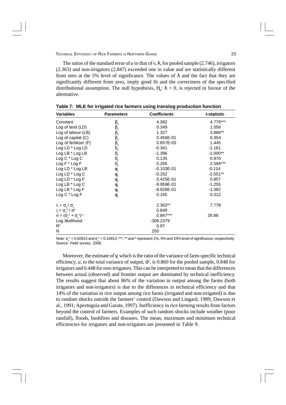The ratios of the standard error of *u* to that of *v*,  $\bf{l}$ , for pooled sample (2.746), irrigators (2.363) and non-irrigators (2.847) exceeded one in value and are statistically different from zero at the 5% level of significance. The values of *l* and the fact that they are significantly different from zero, imply good fit and the correctness of the specified distributional assumption. The null hypothesis,  $H_0$ :  $\lambda = 0$ , is rejected in favour of the alternative.

| <b>Variables</b>                               | <b>Parameters</b>                                    | <b>Coefficients</b> | t-statistic |
|------------------------------------------------|------------------------------------------------------|---------------------|-------------|
| Constant                                       | $\beta_{o}$                                          | 4.382               | 4.779***    |
| Log of land (LD)                               | $\beta_{1}$                                          | 0.349               | 1.056       |
| Log of labour (LB)                             | $\beta_{2}$                                          | 1.327               | 3.866**     |
| Log of capital $(C)$                           | $\beta_3$                                            | 0.456E-01           | 0.354       |
| Log of fertilizer $(F)$                        | $\beta_4$                                            | 0.657E-03           | 1.445       |
| Log LD * Log LD                                |                                                      | $-0.341$            | $-1.161$    |
| Log LB * Log LB                                | $\delta_1$<br>$\delta_2$<br>$\delta_3$<br>$\delta_4$ | $-1.396$            | $-1.000**$  |
| $Log C * Log C$                                |                                                      | 0.135               | 0.970       |
| $Log F * Log F$                                |                                                      | 0.265               | 2.594***    |
| $Log LD * Log LB$                              | $\phi$ <sub>1</sub>                                  | $-0.103E - 01$      | $-0.114$    |
| Log LD * Log C                                 | $\phi$ <sub>2</sub>                                  | $-0.252$            | $-2.551**$  |
| $Log LD * Log F$                               | $\phi$ <sub>3</sub>                                  | 0.425E-01           | 0.857       |
| Log LB * Log C                                 | $\Phi_4$                                             | $-9.959E - 01$      | $-1.255$    |
| $Log LB * Log F$                               | $\phi_{5}$                                           | $-8.826E-01$        | $-1.382$    |
| $Log C * Log F$                                | $\phi_{6}$                                           | 0.165               | 0.312       |
| $\lambda = \sigma_{\rm u} / \sigma_{\rm v}$    |                                                      | 2.363**             | 7.778       |
| $\gamma = \sigma_{\rm u}^2 / \sigma^2$         |                                                      | 0.848               |             |
| $\sigma = (\sigma_v^2 + \sigma_u^2)^{\dot{y}}$ |                                                      | $0.847***$          | 26.88       |
| Log likelihood                                 |                                                      | -306.2379           |             |
| $R^2$                                          |                                                      | 0.97                |             |
| N                                              |                                                      | 250                 |             |

**Table 7: MLE for irrigated rice farmers using translog production function**

Note:  $\sigma_u^2$  = 0.60913 and  $\sigma_v^2$  = 0.10913; \*\*\*, \*\* and \* represent 1%, 5% and 10% level of significance, respectively. Source: Field survey, 2006.

Moreover, the estimate of *g*, which is the ratio of the variance of farm-specific technical efficiency, *u*, to the total variance of output,  $s^2$ , is 0.860 for the pooled sample, 0.848 for irrigators and 0.448 for non-irrigators. This can be interpreted to mean that the differences between actual (observed) and frontier output are dominated by technical inefficiency. The results suggest that about 86% of the variation in output among the farms (both irrigators and non-irrigators) is due to the differences in technical efficiency and that 14% of the variation in rice output among rice farms (irrigated and non-irrigated) is due to random shocks outside the farmers' control (Dawson and Lingard, 1989; Dawson et al., 1991; Apezteguia and Garate, 1997). Inefficiency in rice farming results from factors beyond the control of farmers. Examples of such random shocks include weather (poor rainfall), floods, bushfires and diseases. The mean, maximum and minimum technical efficiencies for irrigators and non-irrigators are presented in Table 9.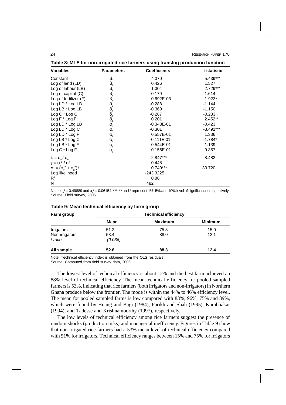| , able of meetion non-impared not rainled doing transleg production randtron |                                               |                     |             |  |  |  |  |
|------------------------------------------------------------------------------|-----------------------------------------------|---------------------|-------------|--|--|--|--|
| <b>Variables</b>                                                             | <b>Parameters</b>                             | <b>Coefficients</b> | t-statistic |  |  |  |  |
| Constant                                                                     | $\beta_{\rm o}$                               | 4.370               | 5.439***    |  |  |  |  |
| Log of land $(LD)$                                                           | $\beta_1$                                     | 0.426               | 1.527       |  |  |  |  |
| Log of labour (LB)                                                           | $\beta_{2}$                                   | 1.304               | 2.729***    |  |  |  |  |
| Log of capital $(C)$                                                         | $\beta_{3}$                                   | 0.179               | 1.614       |  |  |  |  |
| Log of fertilizer (F)                                                        | $\beta_{4}$                                   | 0.692E-03           | 1.923*      |  |  |  |  |
| Log LD * Log LD                                                              |                                               | $-0.288$            | $-1.144$    |  |  |  |  |
| Log LB * Log LB                                                              | $\delta_{1} \delta_{2} \delta_{3} \delta_{4}$ | $-0.360$            | $-1.150$    |  |  |  |  |
| Log C * Log C                                                                |                                               | $-0.287$            | $-0.233$    |  |  |  |  |
| $Log F * Log F$                                                              |                                               | 0.201               | 2.452**     |  |  |  |  |
| $Log LD * Log LB$                                                            | $\phi$ <sub>1</sub>                           | $-0.343E-01$        | $-0.423$    |  |  |  |  |
| Log LD * Log C                                                               | $\phi$ <sub>2</sub>                           | $-0.301$            | $-3.491***$ |  |  |  |  |
| Log LD * Log F                                                               | $\phi$ <sub>3</sub>                           | 0.557E-01           | 1.336       |  |  |  |  |
| Log LB * Log C                                                               | $\phi$ <sub>4</sub>                           | $-0.111E-01$        | $-1.784*$   |  |  |  |  |
| Log LB $*$ Log F                                                             | $\phi_{5}$                                    | $-0.544E-01$        | $-1.139$    |  |  |  |  |
| $Log C * Log F$                                                              | $\phi_{6}$                                    | 0.156E-01           | 0.357       |  |  |  |  |
| $\lambda = \sigma_{\rm u} / \sigma_{\rm v}$                                  |                                               | 2.847***            | 8.482       |  |  |  |  |
| $\gamma = \sigma_{\rm u}^2 / \sigma^2$                                       |                                               | 0.448               |             |  |  |  |  |
| $\sigma = (\sigma_{y}^{2} + \sigma_{y}^{2})^{\dot{y}}$                       |                                               | $0.749***$          | 33.720      |  |  |  |  |
| Log likelihood                                                               |                                               | -243.3225           |             |  |  |  |  |
| $R^2$                                                                        |                                               | 0.86                |             |  |  |  |  |
| N                                                                            |                                               | 482                 |             |  |  |  |  |

**Table 8: MLE for non-irrigated rice farmers using translog production function**

Note:  $\sigma_u^2$  = 0.49889 and  $\sigma_v^2$  = 0.06154; \*\*\*, \*\* and \* represent 1%, 5% and 10% level of significance, respectively. Source: Field survey, 2006.

| Farm group                              | <b>Technical efficiency</b> |                |                |  |
|-----------------------------------------|-----------------------------|----------------|----------------|--|
|                                         | Mean                        | <b>Maximum</b> | <b>Minimum</b> |  |
| Irrigators<br>Non-irrigators<br>t-ratio | 51.2<br>53.4<br>(0.036)     | 75.8<br>88.0   | 15.0<br>12.1   |  |
| All sample                              | 52.8                        | 88.3           | 12.4           |  |

### **Table 9: Mean technical efficiency by farm group**

Note: Technical efficiency index is obtained from the OLS residuals. Source: Computed from field survey data, 2006.

The lowest level of technical efficiency is about 12% and the best farm achieved an 88% level of technical efficiency. The mean technical efficiency for pooled sampled farmers is 53%, indicating that rice farmers (both irrigators and non-irrigators) in Northern Ghana produce below the frontier. The mode is within the 44% to 46% efficiency level. The mean for pooled sampled farms is low compared with 83%, 96%, 75% and 89%, which were found by Huang and Bagi (1984), Parikh and Shah (1995), Kumbhakar (1994), and Tadesse and Krishnamoorthy (1997), respectively.

The low levels of technical efficiency among rice farmers suggest the presence of random shocks (production risks) and managerial inefficiency. Figures in Table 9 show that non-irrigated rice farmers had a 53% mean level of technical efficiency compared with 51% for irrigators. Technical efficiency ranges between 15% and 75% for irrigators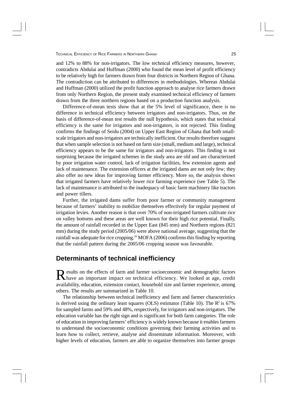and 12% to 88% for non-irrigators. The low technical efficiency measures, however, contradicts Abdulai and Huffman (2000) who found the mean level of profit efficiency to be relatively high for farmers drawn from four districts in Northern Region of Ghana. The contradiction can be attributed to differences in methodologies. Whereas Abdulai and Huffman (2000) utilized the profit function approach to analyse rice farmers drawn from only Northern Region, the present study examined technical efficiency of farmers drawn from the three northern regions based on a production function analysis.

Difference-of-mean tests show that at the 5% level of significance, there is no difference in technical efficiency between irrigators and non-irrigators. Thus, on the basis of difference-of-mean test results the null hypothesis, which states that technical efficiency is the same for irrigators and non-irrigators, is not rejected. This finding confirms the findings of Seidu (2004) on Upper East Region of Ghana that both smallscale irrigators and non-irrigators are technically inefficient. Our results therefore suggest that when sample selection is not based on farm size (small, medium and large), technical efficiency appears to be the same for irrigators and non-irrigators. This finding is not surprising because the irrigated schemes in the study area are old and are characterized by poor irrigation water control, lack of irrigation facilities, few extension agents and lack of maintenance. The extension officers at the irrigated dams are not only few; they also offer no new ideas for improving farmer efficiency. More so, the analysis shows that irrigated farmers have relatively lower rice farming experience (see Table 5). The lack of maintenance is attributed to the inadequacy of basic farm machinery like tractors and power tillers.

Further, the irrigated dams suffer from poor farmer or community management because of farmers' inability to mobilize themselves effectively for regular payment of irrigation levies. Another reason is that over 70% of non-irrigated farmers cultivate rice on valley bottoms and these areas are well known for their high rice potential. Finally, the amount of rainfall recorded in the Upper East (845 mm) and Northern regions (821 mm) during the study period (2005/06) were above national average, suggesting that the rainfall was adequate for rice cropping.<sup>10</sup> MOFA (2006) confirms this finding by reporting that the rainfall pattern during the 2005/06 cropping season was favourable.

### **Determinants of technical inefficiency**

Results on the effects of farm and farmer socioeconomic and demographic factors<br>Thave an important impact on technical efficiency. We looked at age, credit have an important impact on technical efficiency. We looked at age, credit availability, education, extension contact, household size and farmer experience, among others. The results are summarized in Table 10.

The relationship between technical inefficiency and farm and farmer characteristics is derived using the ordinary least squares (OLS) estimator (Table 10). The  $\mathbb{R}^2$  is 67% for sampled farms and 59% and 48%, respectively, for irrigators and non-irrigators. The education variable has the right sign and is significant for both farm categories. The role of education in improving farmers' efficiency is widely known because it enables farmers to understand the socioeconomic conditions governing their farming activities and to learn how to collect, retrieve, analyse and disseminate information. Moreover, with higher levels of education, farmers are able to organize themselves into farmer groups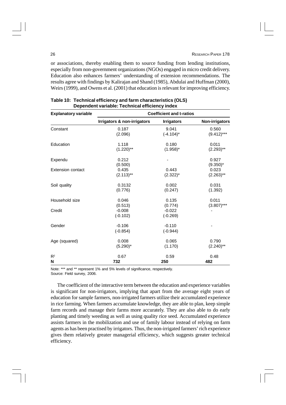or associations, thereby enabling them to source funding from lending institutions, especially from non-government organizations (NGOs) engaged in micro credit delivery. Education also enhances farmers' understanding of extension recommendations. The results agree with findings by Kalirajan and Shand (1985), Abdulai and Huffman (2000), Weirs (1999), and Owens et al. (2001) that education is relevant for improving efficiency.

| <b>Explanatory variable</b> | <b>Coefficient and t-ratios</b> |                        |                       |
|-----------------------------|---------------------------------|------------------------|-----------------------|
|                             | Irrigators & non-irrigators     | <b>Irrigators</b>      | <b>Non-irrigators</b> |
| Constant                    | 0.187                           | 9.041                  | 0.560                 |
|                             | (2.096)                         | $(-4.104)^*$           | $(9.412)***$          |
| Education                   | 1.118                           | 0.180                  | 0.011                 |
|                             | $(1.220)$ **                    | $(1.958)^*$            | $(2.293)$ **          |
| Expendu                     | 0.212<br>(0.500)                |                        | 0.927<br>$(9.350)^*$  |
| <b>Extension contact</b>    | 0.435                           | 0.443                  | 0.023                 |
|                             | $(2.113)$ **                    | $(2.322)^*$            | $(2.263)$ **          |
| Soil quality                | 0.3132                          | 0.002                  | 0.031                 |
|                             | (0.776)                         | (0.247)                | (1.392)               |
| Household size              | 0.046                           | 0.135                  | 0.011                 |
|                             | (0.513)                         | (0.774)                | $(3.807)$ ***         |
| Credit                      | $-0.008$<br>$(-0.102)$          | $-0.022$<br>$(-0.269)$ |                       |
| Gender                      | $-0.106$<br>$(-0.854)$          | $-0.110$<br>$(-0.944)$ |                       |
| Age (squared)               | 0.008                           | 0.065                  | 0.790                 |
|                             | $(5.290)^*$                     | (1.170)                | $(2.240)$ **          |
| $R^2$                       | 0.67                            | 0.59                   | 0.48                  |
| N                           | 732                             | 250                    | 482                   |

| Table 10: Technical efficiency and farm characteristics (OLS) |
|---------------------------------------------------------------|
| Dependent variable: Technical efficiency index                |

Note: \*\*\* and \*\* represent 1% and 5% levels of significance, respectively. Source: Field survey, 2006.

The coefficient of the interactive term between the education and experience variables is significant for non-irrigators, implying that apart from the average eight years of education for sample farmers, non-irrigated farmers utilize their accumulated experience in rice farming. When farmers accumulate knowledge, they are able to plan, keep simple farm records and manage their farms more accurately. They are also able to do early planting and timely weeding as well as using quality rice seed. Accumulated experience assists farmers in the mobilization and use of family labour instead of relying on farm agents as has been practised by irrigators. Thus, the non-irrigated farmers' rich experience gives them relatively greater managerial efficiency, which suggests greater technical efficiency.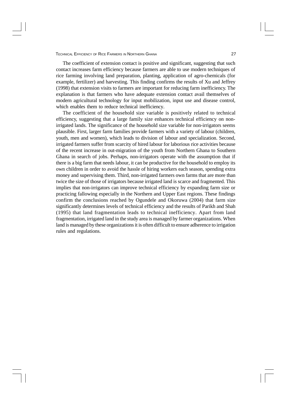The coefficient of extension contact is positive and significant, suggesting that such contact increases farm efficiency because farmers are able to use modern techniques of rice farming involving land preparation, planting, application of agro-chemicals (for example, fertilizer) and harvesting. This finding confirms the results of Xu and Jeffrey (1998) that extension visits to farmers are important for reducing farm inefficiency. The explanation is that farmers who have adequate extension contact avail themselves of modern agricultural technology for input mobilization, input use and disease control, which enables them to reduce technical inefficiency.

The coefficient of the household size variable is positively related to technical efficiency, suggesting that a large family size enhances technical efficiency on nonirrigated lands. The significance of the household size variable for non-irrigators seems plausible. First, larger farm families provide farmers with a variety of labour (children, youth, men and women), which leads to division of labour and specialization. Second, irrigated farmers suffer from scarcity of hired labour for laborious rice activities because of the recent increase in out-migration of the youth from Northern Ghana to Southern Ghana in search of jobs. Perhaps, non-irrigators operate with the assumption that if there is a big farm that needs labour, it can be productive for the household to employ its own children in order to avoid the hassle of hiring workers each season, spending extra money and supervising them. Third, non-irrigated farmers own farms that are more than twice the size of those of irrigators because irrigated land is scarce and fragmented. This implies that non-irrigators can improve technical efficiency by expanding farm size or practicing fallowing especially in the Northern and Upper East regions. These findings confirm the conclusions reached by Ogundele and Okoruwa (2004) that farm size significantly determines levels of technical efficiency and the results of Parikh and Shah (1995) that land fragmentation leads to technical inefficiency. Apart from land fragmentation, irrigated land in the study area is managed by farmer organizations. When land is managed by these organizations it is often difficult to ensure adherence to irrigation rules and regulations.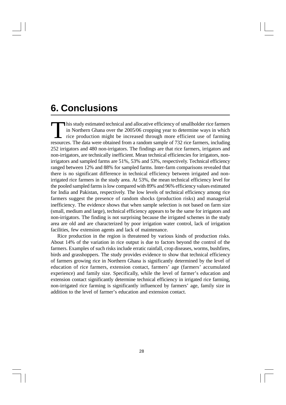# **6. Conclusions**

This study estimated technical and allocative efficiency of smallholder rice farmers<br>in Northern Ghana over the 2005/06 cropping year to determine ways in which<br>rice production might be increased through more efficient use his study estimated technical and allocative efficiency of smallholder rice farmers in Northern Ghana over the 2005/06 cropping year to determine ways in which  $\mathsf{\mathsf{L}}$  rice production might be increased through more efficient use of farming 252 irrigators and 480 non-irrigators. The findings are that rice farmers, irrigators and non-irrigators, are technically inefficient. Mean technical efficiencies for irrigators, nonirrigators and sampled farms are 51%, 53% and 53%, respectively. Technical efficiency ranged between 12% and 88% for sampled farms. Inter-farm comparisons revealed that there is no significant difference in technical efficiency between irrigated and nonirrigated rice farmers in the study area. At 53%, the mean technical efficiency level for the pooled sampled farms is low compared with 89% and 96% efficiency values estimated for India and Pakistan, respectively. The low levels of technical efficiency among rice farmers suggest the presence of random shocks (production risks) and managerial inefficiency. The evidence shows that when sample selection is not based on farm size (small, medium and large), technical efficiency appears to be the same for irrigators and non-irrigators. The finding is not surprising because the irrigated schemes in the study area are old and are characterized by poor irrigation water control, lack of irrigation facilities, few extension agents and lack of maintenance.

Rice production in the region is threatened by various kinds of production risks. About 14% of the variation in rice output is due to factors beyond the control of the farmers. Examples of such risks include erratic rainfall, crop diseases, worms, bushfires, birds and grasshoppers. The study provides evidence to show that technical efficiency of farmers growing rice in Northern Ghana is significantly determined by the level of education of rice farmers, extension contact, farmers' age (farmers' accumulated experience) and family size. Specifically, while the level of farmer's education and extension contact significantly determine technical efficiency in irrigated rice farming, non-irrigated rice farming is significantly influenced by farmers' age, family size in addition to the level of farmer's education and extension contact.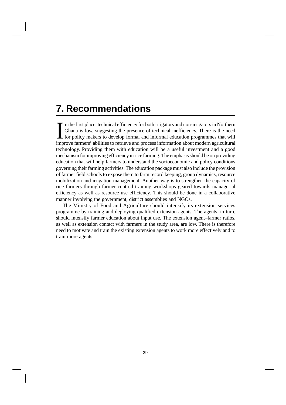# **7. Recommendations**

I n the first place, technical efficiency for both irrigators and non-irrigators in Northern Ghana is low, suggesting the presence of technical inefficiency. There is the need for policy makers to develop formal and informal education programmes that will improve farmers' abilities to retrieve and process information about modern agricultural technology. Providing them with education will be a useful investment and a good mechanism for improving efficiency in rice farming. The emphasis should be on providing education that will help farmers to understand the socioeconomic and policy conditions governing their farming activities. The education package must also include the provision of farmer field schools to expose them to farm record keeping, group dynamics, resource mobilization and irrigation management. Another way is to strengthen the capacity of rice farmers through farmer centred training workshops geared towards managerial efficiency as well as resource use efficiency. This should be done in a collaborative manner involving the government, district assemblies and NGOs.

The Ministry of Food and Agriculture should intensify its extension services programme by training and deploying qualified extension agents. The agents, in turn, should intensify farmer education about input use. The extension agent–farmer ratios, as well as extension contact with farmers in the study area, are low. There is therefore need to motivate and train the existing extension agents to work more effectively and to train more agents.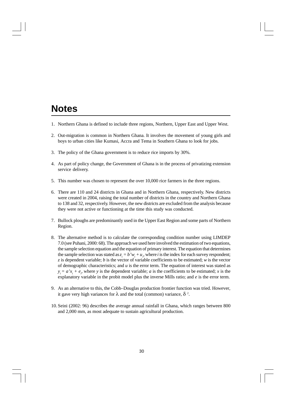# **Notes**

- 1. Northern Ghana is defined to include three regions, Northern, Upper East and Upper West.
- 2. Out-migration is common in Northern Ghana. It involves the movement of young girls and boys to urban cities like Kumasi, Accra and Tema in Southern Ghana to look for jobs.
- 3. The policy of the Ghana government is to reduce rice imports by 30%.
- 4. As part of policy change, the Government of Ghana is in the process of privatizing extension service delivery.
- 5. This number was chosen to represent the over 10,000 rice farmers in the three regions.
- 6. There are 110 and 24 districts in Ghana and in Northern Ghana, respectively. New districts were created in 2004, raising the total number of districts in the country and Northern Ghana to 138 and 32, respectively. However, the new districts are excluded from the analysis because they were not active or functioning at the time this study was conducted.
- 7. Bullock ploughs are predominantly used in the Upper East Region and some parts of Northern Region.
- 8. The alternative method is to calculate the corresponding condition number using LIMDEP 7.0 (see Puhani, 2000: 68). The approach we used here involved the estimation of two equations, the sample selection equation and the equation of primary interest. The equation that determines the sample selection was stated as  $z_i = b'w_i + u_i$ , where *i* is the index for each survey respondent; *z* is dependent variable; *b* is the vector of variable coefficients to be estimated; *w* is the vector of demographic characteristics; and *u* is the error term. The equation of interest was stated as  $y_i = a'x_i + e_i$ , where *y* is the dependent variable; *a* is the coefficients to be estimated; *x* is the explanatory variable in the probit model plus the inverse Mills ratio; and *e* is the error term.
- 9. As an alternative to this, the Cobb–Douglas production frontier function was tried. However, it gave very high variances for  $\lambda$  and the total (common) variance,  $\delta$  <sup>2</sup>.
- 10. Seini (2002: 96) describes the average annual rainfall in Ghana, which ranges between 800 and 2,000 mm, as most adequate to sustain agricultural production.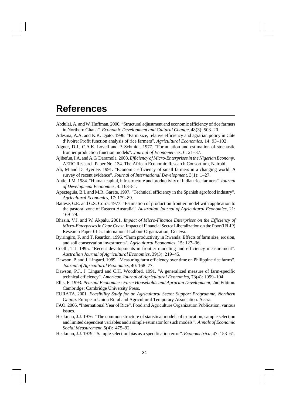## **References**

Abdulai, A. and W. Huffman. 2000. "Structural adjustment and economic efficiency of rice farmers in Northern Ghana". *Economic Development and Cultural Change*, 48(3): 503–20.

Adesina, A.A. and K.K. Djato. 1996. "Farm size, relative efficiency and agrarian policy in Côte d'Ivoire: Profit function analysis of rice farmers". *Agricultural Economics*, 14: 93–102.

- Aigner, D.J., C.A.K. Lovell and P. Schmidt. 1977. "Formulation and estimation of stochastic frontier production function models". *Journal of Econometrics*, 6: 21–37.
- Ajibefun, I.A. and A.G. Daramola. 2003. *Efficiency of Micro-Enterprises in the Nigerian Economy.* AERC Research Paper No. 134. The African Economic Research Consortium, Nairobi.
- Ali, M and D. Byerlee. 1991. "Economic efficiency of small farmers in a changing world: A survey of recent evidence". *Journal of International Development*, 3(1): 1–27.
- Antle, J.M. 1984. "Human capital, infrastructure and productivity of Indian rice farmers". *Journal of Development Economics*, 4: 163–81.
- Apezteguia, B.I. and M.R. Garate. 1997. "Technical efficiency in the Spanish agrofood industry". *Agricultural Economics*, 17: 179–89.
- Battese, G.E. and G.S. Corra. 1977. "Estimation of production frontier model with application to the pastoral zone of Eastern Australia". *Australian Journal of Agricultural Economics*, 21: 169–79.
- Bhasin, V.J. and W. Akpalu. 2001. *Impact of Micro-Finance Enterprises on the Efficiency of Micro-Enterprises in Cape Coast.* Impact of Financial Sector Liberalization on the Poor (IFLIP) Research Paper 01-5. International Labour Organization, Geneva.
- Byiringiro, F. and T. Reardon. 1996. "Farm productivity in Rwanda: Effects of farm size, erosion, and soil conservation investments". *Agricultural Economics*, 15: 127–36.
- Coelli, T.J. 1995. "Recent developments in frontier modeling and efficiency measurement". *Australian Journal of Agricultural Economics*, 39(3): 219–45.
- Dawson, P. and J. Lingard. 1989. "Measuring farm efficiency over time on Philippine rice farms". *Journal of Agricultural Economics*, 40: 168–77.
- Dawson, P.J., J. Lingard and C.H. Woodford. 1991. "A generalized measure of farm-specific technical efficiency". *American Journal of Agricultural Economics*, 73(4): 1099–104.
- Ellis, F. 1993. *Peasant Economics: Farm Households and Agrarian Development,* 2nd Edition. Cambridge: Cambridge University Press.
- EURATA. 2001. *Feasibility Study for an Agricultural Sector Support Programme, Northern Ghana*. European Union Rural and Agricultural Temporary Association. Accra.
- FAO. 2006. "International Year of Rice". Food and Agriculture Organization Publication, various issues.
- Heckman, J.J. 1976. "The common structure of statistical models of truncation, sample selection and limited dependent variables and a simple estimator for such models". *Annals of Economic Social Measurement*, 5(4): 475–92.
- Heckman, J.J. 1979. "Sample selection bias as a specification error". *Econometrica*, 47: 153–61.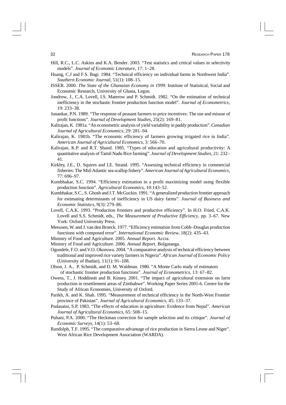- Hill, R.C., L.C. Askins and K.A. Bender. 2003. "Test statistics and critical values in selectivity models". *Journal of Economic Literature*, 17: 1–28.
- Huang, C.J and F.S. Bagi. 1984. "Technical efficiency on individual farms in Northwest India". *Southern Economic Journal,* 51(1): 108–15.
- ISSER. 2000. *The State of the Ghanaian Economy in 1999.* Institute of Statistical, Social and Economic Research, University of Ghana, Legon.
- Jondrow, J., C.A. Lovell, I.S. Materow and P. Schmidt. 1982. "On the estimation of technical inefficiency in the stochastic frontier production function model". *Journal of Econometrics*, 19: 233–38.
- Junankar, P.N. 1989. "The response of peasant farmers to price incentives: The use and misuse of profit functions". *Journal of Development Studies*, 25(2): 169–81.
- Kalirajan, K. 1981a. "An econometric analysis of yield variability in paddy production". *Canadian Journal of Agricultural Economics*, 29: 281–94.
- Kalirajan, K. 1981b. "The economic efficiency of farmers growing irrigated rice in India". *American Journal of Agricultural Economics*, 3: 566–70.
- Kalirajan, K.P. and R.T. Shand. 1985. "Types of education and agricultural productivity: A quantitative analysis of Tamil Nadu Rice farming". *Journal of Development Studies*, 21: 232– 41.
- Kirkley, J.E., D. Squires and I.E. Strand. 1995. "Assessing technical efficiency in commercial fisheries: The Mid-Atlantic sea scallop fishery". *American Journal of Agricultural Economics*, 77: 696–97.
- Kumbhakar, S.C. 1994. "Efficiency estimation in a profit maximizing model using flexible production function". *Agricultural Economics*, 10:143–52.
- Kumbhakar, S.C., S. Ghosh and J.T. McGuckin. 1991. "A generalized production frontier approach for estimating determinants of inefficiency in US dairy farms". *Journal of Business and Economic Statistics*, 9(3): 279–86.
- Lovell, C.A.K. 1993. "Production frontiers and productive efficiency". In H.O. Fried, C.A.K. Lovell and S.S. Schmidt, eds., *The Measurement of Productive Efficiency,* pp. 3–67. New York: Oxford University Press.
- Meeusen, W. and J. van den Broeck. 1977. "Efficiency estimation from Cobb–Douglas production functions with composed error". *International Economic Review*, 18(2): 435–43.
- Ministry of Food and Agriculture. 2005. *Annual Report.* Accra.
- Ministry of Food and Agriculture. 2006. *Annual Report*. Bolgatanga.
- Ogundele, F.O. and V.O. Okoruwa. 2004. "A comparative analysis of technical efficiency between traditional and improved rice variety farmers in Nigeria". *African Journal of Economic Policy* (University of Ibadan), 11(1): 91–108.
- Olson, J. A., P. Schmidt, and D. M. Waldman. 1980. "A Monte Carlo study of estimators of stochastic frontier production functions". *Journal of Econometrics*, 13: 67–82.
- Owens, T., J. Hoddinott and B. Kinsey. 2001. "The impact of agricultural extension on farm production in resettlement areas of Zimbabwe". Working Paper Series 2001-6. Centre for the Study of African Economies, University of Oxford.
- Parikh, A. and K. Shah. 1995. "Measurement of technical efficiency in the North-West Frontier province of Pakistan". *Journal of Agricultural Economics*, 45: 133–37.
- Pudasaini, S.P. 1983. "The effects of education in agriculture: Evidence from Nepal". *American Journal of Agricultural Economics*, 65: 508–15.
- Puhani, P.A. 2000. "The Heckman correction for sample selection and its critique". *Journal of Economic Surveys,* 14(1): 53–68.
- Randolph, T.F. 1995. "The comparative advantage of rice production in Sierra Leone and Niger". West African Rice Development Association (WARDA).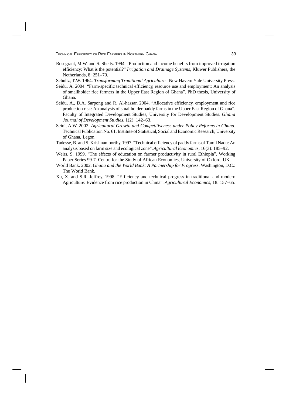- Rosegrant, M.W. and S. Shetty. 1994. "Production and income benefits from improved irrigation efficiency: What is the potential?" *Irrigation and Drainage Systems*, Kluwer Publishers, the Netherlands, 8: 251–70.
- Schultz, T.W. 1964. *Transforming Traditional Agriculture.* New Haven: Yale University Press.
- Seidu, A. 2004. "Farm-specific technical efficiency, resource use and employment: An analysis of smallholder rice farmers in the Upper East Region of Ghana". PhD thesis, University of Ghana.
- Seidu, A., D.A. Sarpong and R. Al-hassan 2004. "Allocative efficiency, employment and rice production risk: An analysis of smallholder paddy farms in the Upper East Region of Ghana". Faculty of Integrated Development Studies, University for Development Studies. *Ghana Journal of Development Studies*, 1(2): 142–63.
- Seini, A.W. 2002. *Agricultural Growth and Competitiveness under Policy Reforms in Ghana*. Technical Publication No. 61. Institute of Statistical, Social and Economic Research, University of Ghana, Legon.
- Tadesse, B. and S. Krishnamoorthy. 1997. "Technical efficiency of paddy farms of Tamil Nadu: An analysis based on farm size and ecological zone". *Agricultural Economics*, 16(3): 185–92.
- Weirs, S. 1999. "The effects of education on farmer productivity in rural Ethiopia". Working Paper Series 99-7. Centre for the Study of African Economies, University of Oxford, UK.
- World Bank. 2002. *Ghana and the World Bank: A Partnership for Progress*. Washington, D.C.: The World Bank.
- Xu, X. and S.R. Jeffrey. 1998. "Efficiency and technical progress in traditional and modern Agriculture: Evidence from rice production in China". *Agricultural Economics*, 18: 157–65.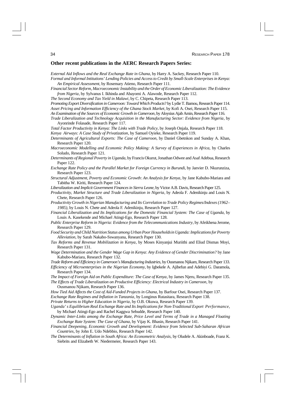#### **Other recent publications in the AERC Research Papers Series:**

*External Aid Inflows and the Real Exchange Rate in Ghana*, by Harry A. Sackey, Research Paper 110. *Formal and Informal Intitutions' Lending Policies and Access to Credit by Small-Scale Enterprises in Kenya: An Empirical Assessment*, by Rosemary Atieno, Research Paper 111.

*Financial Sector Reform, Macroeconomic Instability and the Order of Economic Liberalization: The Evidence from Nigeria*, by Sylvanus I. Ikhinda and Abayomi A. Alawode, Research Paper 112.

*The Second Economy and Tax Yield in Malawi*, by C. Chipeta, Research Paper 113.

*Promoting Export Diversification in Cameroon: Toward Which Products*? by Lydie T. Bamou, Research Paper 114. *Asset Pricing and Information Efficiency of the Ghana Stock Market*, by Kofi A. Osei, Research Paper 115. *An Examination of the Sources of Economic Growth in Cameroon*, by Aloysius Ajab Amin, Research Paper 116.

*Trade Liberalization and Technology Acquisition in the Manufacturing Sector: Evidence from Nigeria*, by Ayonrinde Folasade, Research Paper 117.

*Total Factor Productivity in Kenya: The Links with Trade Policy*, by Joseph Onjala, Research Paper 118. *Kenya Airways: A Case Study of Privatization*, by Samuel Oyieke, Research Paper 119.

*Determinants of Agricultural Exports: The Case of Cameroon,* by Daniel Gbetnkon and Sunday A. Khan, Research Paper 120.

- *Macroeconomic Modelling and Economic Policy Making: A Survey of Experiences in Africa,* by Charles Soludo, Research Paper 121.
- *Determinants of Regional Poverty in Uganda,* by Francis Okurut, Jonathan Odwee and Asaf Adebua, Research Paper 122.
- *Exchange Rate Policy and the Parallel Market for Foreign Currency in Burundi*, by Janvier D. Nkurunziza, Research Paper 123.
- *Structural Adjustment, Poverty and Economic Growth*: *An Analysis for Kenya*, by Jane Kabubo-Mariara and Tabitha W. Kiriti, Research Paper 124.

*Liberalization and Implicit Government Finances in Sierra Leone*, by Victor A.B. Davis, Research Paper 125.

*Productivity, Market Structure and Trade Liberalization in Nigeria*, by Adeola F. Adenikinju and Louis N. Chete, Research Paper 126.

*Productivity Growth in Nigerian Manufacturing and Its Correlation to Trade Policy Regimes/Indexes (1962– 1985)*, by Louis N. Chete and Adeola F. Adenikinju, Research Paper 127.

*Financial Liberalization and Its Implications for the Domestic Financial System: The Case of Uganda*, by Louis A. Kasekende and Michael Atingi-Ego, Research Paper 128.

*Public Enterprise Reform in Nigeria: Evidence from the Telecommunications Industry*, by Afeikhena Jerome, Research Paper 129.

*Food Security and Child Nutrition Status among Urban Poor Householdsin Uganda: Implications for Poverty Alleviation,* by Sarah Nakabo-Sswanyana, Research Paper 130.

*Tax Reforms and Revenue Mobilization in Kenya*, by Moses Kinyanjui Muriithi and Eliud Dismas Moyi, Research Paper 131.

*Wage Determination and the Gender Wage Gap in Kenya: Any Evidence of Gender Discrimination?* by Jane Kabubo-Mariara, Research Paper 132.

*Trade Reform and Efficiency in Cameroon's Manufacturing Industries,* by Ousmanou Njikam, Research Paper 133. *Efficiency of Microenterprises in the Nigerian Economy*, by Igbekele A. Ajibefun and Adebiyi G. Daramola, Research Paper 134.

*The Impact of Foreign Aid on Public Expenditure: The Case of Kenya*, by James Njeru, Research Paper 135. *The Effects of Trade Liberalization on Productive Efficiency: Electrical Industry in Cameroon*, by

Ousmanou Njikam, Research Paper 136.

*How Tied Aid Affects the Cost of Aid-Funded Projects in Ghana*, by Barfour Osei, Research Paper 137.

*Exchange Rate Regimes and Inflation in Tanzania*, by Longinus Rutasitara, Research Paper 138.

*Private Returns to Higher Education in Nigeria*, by O.B. Okuwa, Research Paper 139.

*Uganda' s Equilibrium Real Exchange Rate and Its Implications for Non-Traditional Export Performance*, by Michael Atingi-Ego and Rachel Kaggwa Sebudde, Research Paper 140.

*Dynamic Inter-Links among the Exchange Rate, Price Level and Terms of Trade in a Managed Floating Exchange Rate System: The Case of Ghana*, by Vijay K. Bhasin, Research Paper 141.

- *Financial Deepening, Economic Growth and Development: Evidence from Selected Sub-Saharan African Countries*, by John E. Udo Ndebbio, Research Paper 142.
- *The Determinants of Inflation in South Africa: An Econometric Analysis,* by Oludele A. Akinboade, Franz K. Siebrits and Elizabeth W. Niedermeier, Research Paper 143.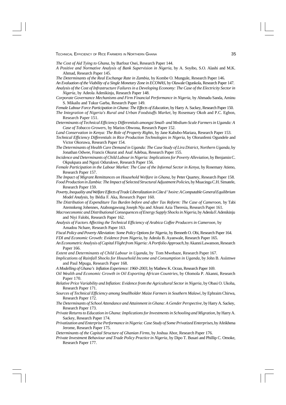Research Paper 151.

*The Cost of Aid Tying to Ghana*, by Barfour Osei, Research Paper 144.

*A Positive and Normative Analysis of Bank Supervision in Nigeria,* by A. Soyibo, S.O. Alashi and M.K. Ahmad, Research Paper 145.

*The Determinants of the Real Exchange Rate in Zambia,* by Kombe O. Mungule, Research Paper 146.

*An Evaluation of the Viability of a Single Monetary Zone in ECOWAS,* by Olawale Ogunkola, Research Paper 147. *Analysis of the Cost of Infrastructure Failures in a Developing Economy: The Case of the Electricity Sector in Nigeria*, by Adeola Adenikinju, Research Paper 148.

*Corporate Governance Mechanisms and Firm Financial Performance in Nigeria,* by Ahmadu Sanda, Aminu S. Mikailu and Tukur Garba, Research Paper 149.

*Female Labour Force Participation in Ghana: The Effects of Education*, by Harry A. Sackey, Research Paper 150. *The Integration of Nigeria's Rural and Urban Foodstuffs Market,* by Rosemary Okoh and P.C. Egbon,

*Determinants of Technical Efficiency Differentials amongst Small- and Medium-Scale Farmers in Uganda: A Case of Tobacco Growers,* by Marios Obwona, Research Paper 152.

*Land Conservation in Kenya: The Role of Property Rights*, by Jane Kabubo-Mariara, Research Paper 153.

*Technical Efficiency Differentials in Rice Production Technologies in Nigeria,* by Olorunfemi Ogundele and Victor Okoruwa, Research Paper 154.

*The Determinants of Health Care Demand in Uganda: The Case Study of Lira District, Northern Uganda,* by Jonathan Odwee, Francis Okurut and Asaf Adebua, Research Paper 155.

- *Incidence and Determinants of Child Labour in Nigeria: Implications for Poverty Alleviation, by Benjamin C.* Okpukpara and Ngozi Odurukwe, Research Paper 156.
- *Female Participation in the Labour Market: The Case of the Informal Sector in Kenya,* by Rosemary Atieno, Research Paper 157.

*The Impact of Migrant Remittances on Household Welfare in Ghana,* by Peter Quartey, Research Paper 158.

- *Food Production in Zambia: The Impact of Selected Structural Adjustment Policies*, by Muacinga C.H. Simatele, Research Paper 159.
- *Poverty, Inequality and Welfare Effects of Trade Liberalization in Côte d' Ivoire: A Computable General Equilibrium Model Analysis,* by Bédia F. Aka, Research Paper 160.
- *The Distribution of Expenditure Tax Burden before and after Tax Reform: The Case of Cameroon,* by Tabi Atemnkeng Johennes, Atabongawung Joseph Nju and Afeani Azia Theresia, Research Paper 161.
- *Macroeconomic and Distributional Consequences of Energy Supply Shocks in Nigeria*, by Adeola F. Adenikinju and Niyi Falobi, Research Paper 162.
- *Analysis of Factors Affecting the Technical Efficiency of Arabica Coffee Producers in Cameroon*, by Amadou Nchare, Research Paper 163.

*Fiscal Policy and Poverty Alleviation: Some Policy Options for Nigeria*, by Benneth O. Obi, Research Paper 164. *FDI and Economic Growth: Evidence from Nigeria,* by Adeolu B. Ayanwale, Research Paper 165.

*An Econometric Analysis of Capital Flight from Nigeria: A Portfolio Approach,* by Akanni Lawanson, Research Paper 166.

*Extent and Determinants of Child Labour in Uganda,* by Tom Mwebaze, Research Paper 167.

*Implications of Rainfall Shocks for Household Income and Consumption in Uganda,* by John B. Asiimwe and Paul Mpuga, Research Paper 168.

*A Modelling of Ghana's Inflation Experience: 1960–2003*, by Mathew K. Ocran, Research Paper 169.

- *Oil Wealth and Economic Growth in Oil Exporting African Countries*, by Olomola P. Akanni, Research Paper 170.
- *Relative Price Variability and Inflation: Evidence from the Agricultural Sector in Nigeria*, by Obasi O. Ukoha, Research Paper 171.
- *Sources of Technical Efficiency among Smallholder Maize Farmers in Southern Malawi*, by Ephraim Chirwa, Research Paper 172.
- *The Determinants of School Attendance and Attainment in Ghana: A Gender Perspective*, by Harry A. Sackey, Research Paper 173.
- *Private Returns to Education in Ghana: Implications for Investments in Schooling and Migration*, by Harry A. Sackey, Research Paper 174.

*Privatization and Enterprise Performance in Nigeria: Case Study of Some Privatized Enterprises*, by Afeikhena Jerome, Research Paper 175.

*Determinants of the Capital Structure of Ghanian Firms*, by Joshua Abor, Research Paper 176.

*Private Investment Behaviour and Trade Policy Practice in Nigeria*, by Dipo T. Busari and Phillip C. Omoke, Research Paper 177.